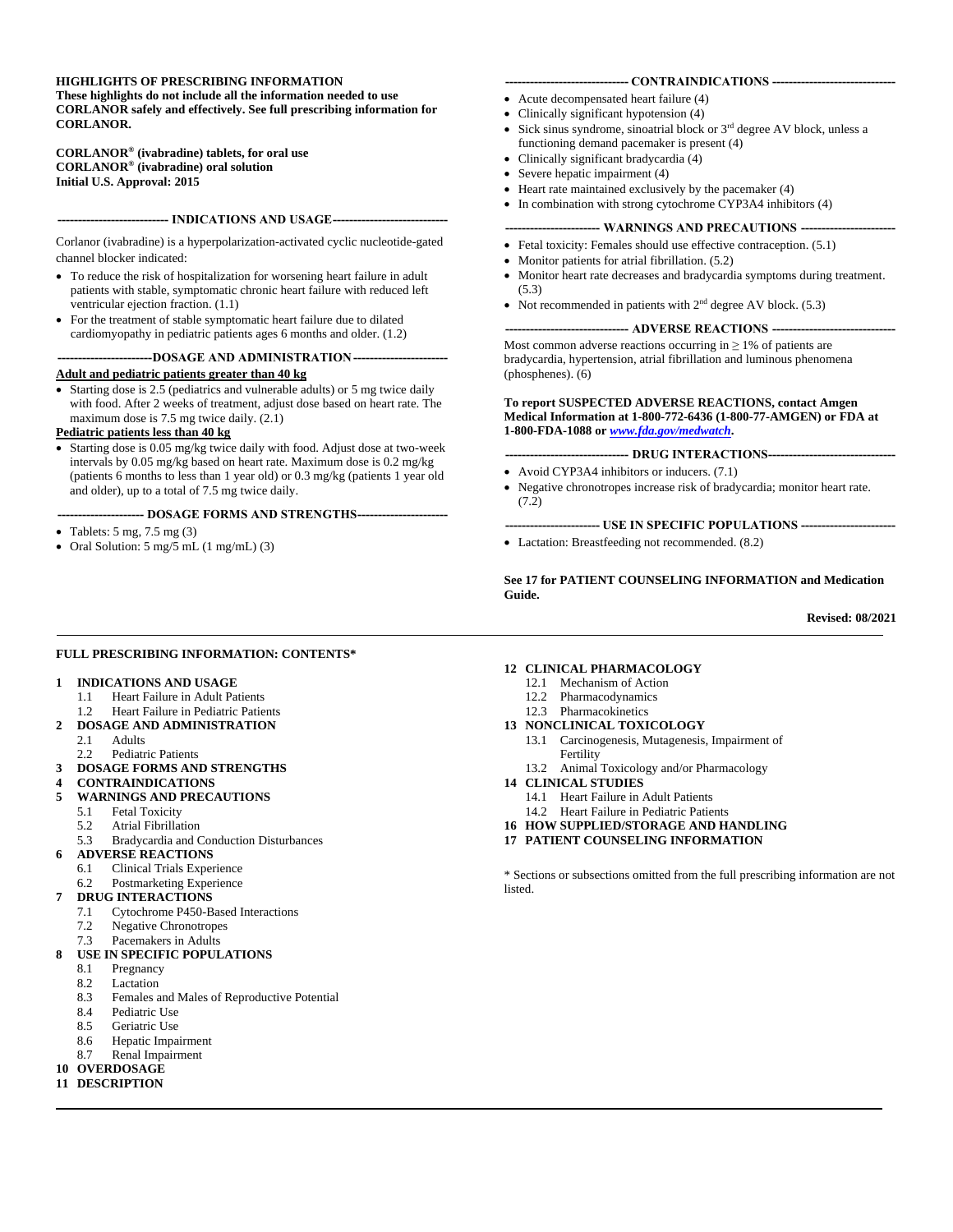#### **HIGHLIGHTS OF PRESCRIBING INFORMATION**

**These highlights do not include all the information needed to use CORLANOR safely and effectively. See full prescribing information for CORLANOR.**

**CORLANOR® (ivabradine) tablets, for oral use CORLANOR® (ivabradine) oral solution Initial U.S. Approval: 2015**

#### **--------------------------- INDICATIONS AND USAGE----------------------------**

Corlanor (ivabradine) is a hyperpolarization-activated cyclic nucleotide-gated channel blocker indicated:

- To reduce the risk of hospitalization for worsening heart failure in adult patients with stable, symptomatic chronic heart failure with reduced left ventricular ejection fraction. (1.1)
- For the treatment of stable symptomatic heart failure due to dilated cardiomyopathy in pediatric patients ages 6 months and older. (1.2)

# **-----------------------DOSAGE AND ADMINISTRATION-----------------------**

#### **Adult and pediatric patients greater than 40 kg**

• Starting dose is 2.5 (pediatrics and vulnerable adults) or 5 mg twice daily with food. After 2 weeks of treatment, adjust dose based on heart rate. The maximum dose is 7.5 mg twice daily. (2.1)

#### **Pediatric patients less than 40 kg**

• Starting dose is 0.05 mg/kg twice daily with food. Adjust dose at two-week intervals by 0.05 mg/kg based on heart rate. Maximum dose is 0.2 mg/kg (patients 6 months to less than 1 year old) or 0.3 mg/kg (patients 1 year old and older), up to a total of 7.5 mg twice daily.

#### **--------------------- DOSAGE FORMS AND STRENGTHS----------------------**

- Tablets:  $5 \text{ mg}$ ,  $7.5 \text{ mg}$  (3)
- Oral Solution: 5 mg/5 mL (1 mg/mL) (3)

#### **------------------------------ CONTRAINDICATIONS ------------------------------**

- Acute decompensated heart failure (4)
- Clinically significant hypotension (4)
- Sick sinus syndrome, sinoatrial block or  $3<sup>rd</sup>$  degree AV block, unless a functioning demand pacemaker is present (4)
- Clinically significant bradycardia (4)
- Severe hepatic impairment (4)
- Heart rate maintained exclusively by the pacemaker (4)
- In combination with strong cytochrome CYP3A4 inhibitors (4)

#### --- WARNINGS AND PRECAUTIONS ---

- Fetal toxicity: Females should use effective contraception. (5.1)
- Monitor patients for atrial fibrillation.  $(5.2)$
- Monitor heart rate decreases and bradycardia symptoms during treatment. (5.3)
- Not recommended in patients with  $2<sup>nd</sup>$  degree AV block. (5.3)

#### **------------------------------ ADVERSE REACTIONS ------------------------------**

Most common adverse reactions occurring in  $\geq 1\%$  of patients are bradycardia, hypertension, atrial fibrillation and luminous phenomena (phosphenes). (6)

**To report SUSPECTED ADVERSE REACTIONS, contact Amgen Medical Information at 1-800-772-6436 (1-800-77-AMGEN) or FDA at 1-800-FDA-1088 or** *[www.fda.gov/medwatch](http://www.fda.gov/medwatch)***.**

#### **------------------------------ DRUG INTERACTIONS-------------------------------**

- Avoid CYP3A4 inhibitors or inducers. (7.1)
- Negative chronotropes increase risk of bradycardia; monitor heart rate. (7.2)

#### **----------------------- USE IN SPECIFIC POPULATIONS -----------------------**

• Lactation: Breastfeeding not recommended. (8.2)

#### **See 17 for PATIENT COUNSELING INFORMATION and Medication Guide.**

**Revised: 08/2021**

#### **FULL PRESCRIBING INFORMATION: CONTENTS\***

#### **1 INDICATIONS AND USAGE**

- 1.1 Heart Failure in Adult Patients<br>1.2 Heart Failure in Pediatric Patien
- Heart Failure in Pediatric Patients
- **2 DOSAGE AND ADMINISTRATION**
	- 2.1 Adults
	- 2.2 Pediatric Patients
- **3 DOSAGE FORMS AND STRENGTHS**
- **4 CONTRAINDICATIONS**
- **5 WARNINGS AND PRECAUTIONS**
	- 5.1 Fetal Toxicity
	- 5.2 Atrial Fibrillation
	- 5.3 Bradycardia and Conduction Disturbances
- **6 ADVERSE REACTIONS**
	- 6.1 Clinical Trials Experience
	- 6.2 Postmarketing Experience
- **7 DRUG INTERACTIONS**
	- 7.1 Cytochrome P450-Based Interactions
	- 7.2 Negative Chronotropes
	- 7.3 Pacemakers in Adults

#### **8 USE IN SPECIFIC POPULATIONS**

- 8.1 Pregnancy
- 8.2 Lactation
- 8.3 Females and Males of Reproductive Potential
- 8.4 Pediatric Use<br>8.5 Geriatric Use
- Geriatric Use
- 8.6 Hepatic Impairment
- 8.7 Renal Impairment
- **10 OVERDOSAGE**
- **11 DESCRIPTION**

#### **12 CLINICAL PHARMACOLOGY**

- 12.1 Mechanism of Action
- 12.2 Pharmacodynamics
- 12.3 Pharmacokinetics

#### **13 NONCLINICAL TOXICOLOGY**

- 13.1 Carcinogenesis, Mutagenesis, Impairment of Fertility
- 13.2 Animal Toxicology and/or Pharmacology
- **14 CLINICAL STUDIES**
- 14.1 Heart Failure in Adult Patients
	- 14.2 Heart Failure in Pediatric Patients
- **16 HOW SUPPLIED/STORAGE AND HANDLING**
- **17 PATIENT COUNSELING INFORMATION**

\* Sections or subsections omitted from the full prescribing information are not listed.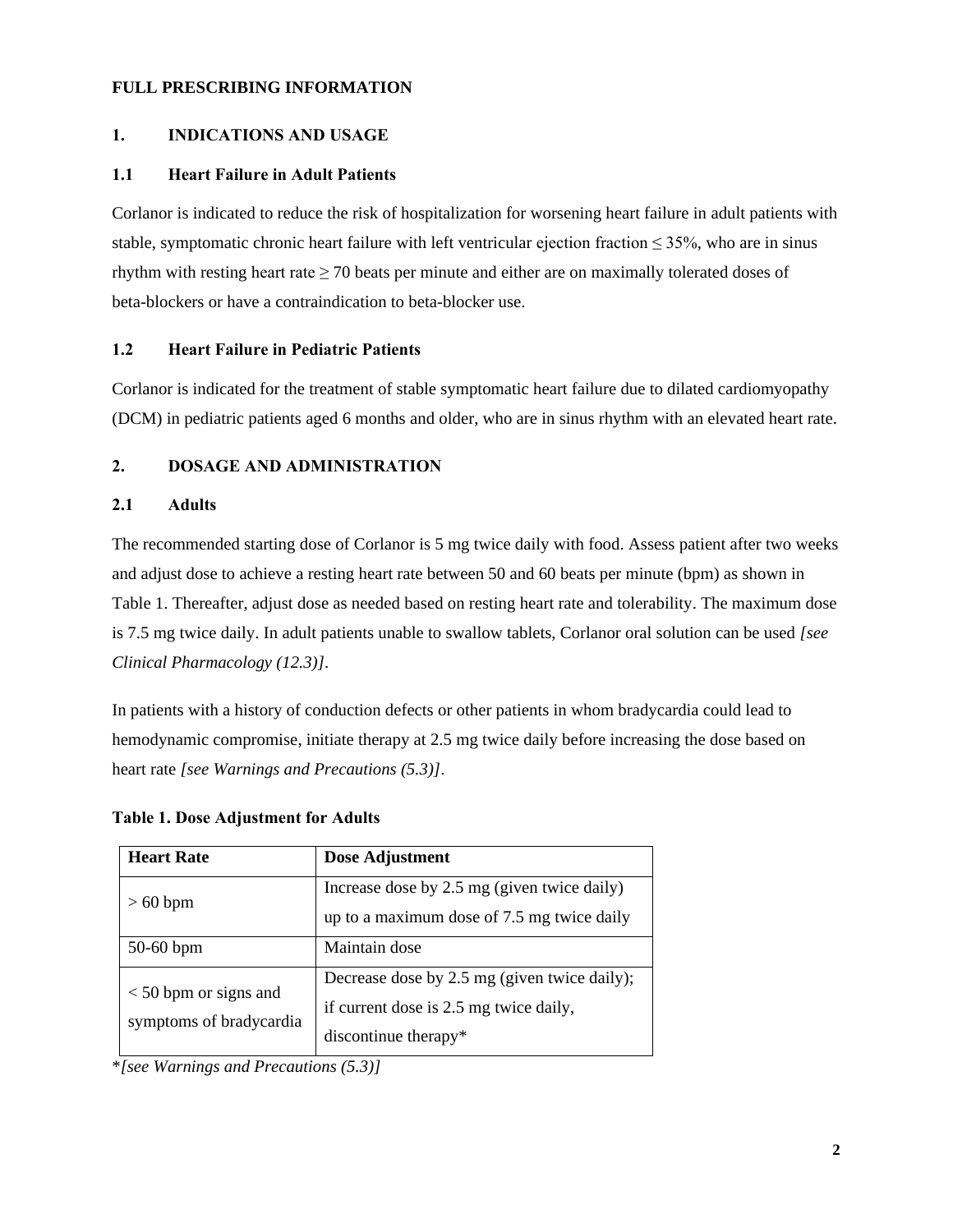### **FULL PRESCRIBING INFORMATION**

## **1. INDICATIONS AND USAGE**

### **1.1 Heart Failure in Adult Patients**

Corlanor is indicated to reduce the risk of hospitalization for worsening heart failure in adult patients with stable, symptomatic chronic heart failure with left ventricular ejection fraction  $\leq$  35%, who are in sinus rhythm with resting heart rate  $\geq$  70 beats per minute and either are on maximally tolerated doses of beta-blockers or have a contraindication to beta-blocker use.

### **1.2 Heart Failure in Pediatric Patients**

Corlanor is indicated for the treatment of stable symptomatic heart failure due to dilated cardiomyopathy (DCM) in pediatric patients aged 6 months and older, who are in sinus rhythm with an elevated heart rate.

## **2. DOSAGE AND ADMINISTRATION**

### **2.1 Adults**

The recommended starting dose of Corlanor is 5 mg twice daily with food. Assess patient after two weeks and adjust dose to achieve a resting heart rate between 50 and 60 beats per minute (bpm) as shown in Table 1. Thereafter, adjust dose as needed based on resting heart rate and tolerability. The maximum dose is 7.5 mg twice daily. In adult patients unable to swallow tablets, Corlanor oral solution can be used *[see Clinical Pharmacology (12.3)]*.

In patients with a history of conduction defects or other patients in whom bradycardia could lead to hemodynamic compromise, initiate therapy at 2.5 mg twice daily before increasing the dose based on heart rate *[see Warnings and Precautions (5.3)]*.

| <b>Heart Rate</b>                                  | Dose Adjustment                                                                                                |
|----------------------------------------------------|----------------------------------------------------------------------------------------------------------------|
| $>60$ bpm                                          | Increase dose by 2.5 mg (given twice daily)<br>up to a maximum dose of 7.5 mg twice daily                      |
| $50-60$ bpm                                        | Maintain dose                                                                                                  |
| $<$ 50 bpm or signs and<br>symptoms of bradycardia | Decrease dose by 2.5 mg (given twice daily);<br>if current dose is 2.5 mg twice daily,<br>discontinue therapy* |

| <b>Table 1. Dose Adjustment for Adults</b> |  |
|--------------------------------------------|--|
|--------------------------------------------|--|

\**[see Warnings and Precautions (5.3)]*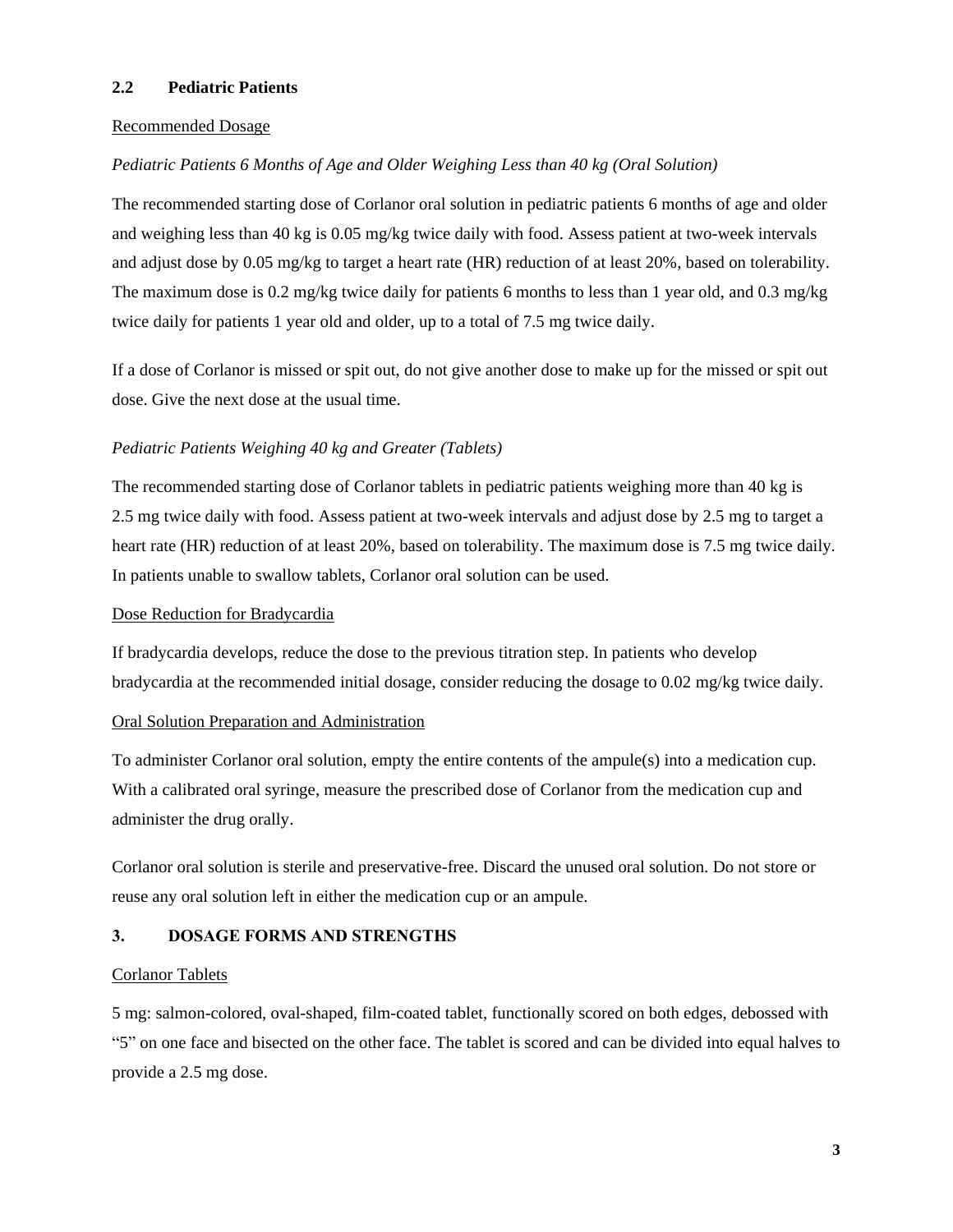### **2.2 Pediatric Patients**

### Recommended Dosage

### *Pediatric Patients 6 Months of Age and Older Weighing Less than 40 kg (Oral Solution)*

The recommended starting dose of Corlanor oral solution in pediatric patients 6 months of age and older and weighing less than 40 kg is 0.05 mg/kg twice daily with food. Assess patient at two-week intervals and adjust dose by 0.05 mg/kg to target a heart rate (HR) reduction of at least 20%, based on tolerability. The maximum dose is 0.2 mg/kg twice daily for patients 6 months to less than 1 year old, and 0.3 mg/kg twice daily for patients 1 year old and older, up to a total of 7.5 mg twice daily.

If a dose of Corlanor is missed or spit out, do not give another dose to make up for the missed or spit out dose. Give the next dose at the usual time.

### *Pediatric Patients Weighing 40 kg and Greater (Tablets)*

The recommended starting dose of Corlanor tablets in pediatric patients weighing more than 40 kg is 2.5 mg twice daily with food. Assess patient at two-week intervals and adjust dose by 2.5 mg to target a heart rate (HR) reduction of at least 20%, based on tolerability. The maximum dose is 7.5 mg twice daily. In patients unable to swallow tablets, Corlanor oral solution can be used.

### Dose Reduction for Bradycardia

If bradycardia develops, reduce the dose to the previous titration step. In patients who develop bradycardia at the recommended initial dosage, consider reducing the dosage to 0.02 mg/kg twice daily.

### Oral Solution Preparation and Administration

To administer Corlanor oral solution, empty the entire contents of the ampule(s) into a medication cup. With a calibrated oral syringe, measure the prescribed dose of Corlanor from the medication cup and administer the drug orally.

Corlanor oral solution is sterile and preservative-free. Discard the unused oral solution. Do not store or reuse any oral solution left in either the medication cup or an ampule.

### **3. DOSAGE FORMS AND STRENGTHS**

### Corlanor Tablets

5 mg: salmon-colored, oval-shaped, film-coated tablet, functionally scored on both edges, debossed with "5" on one face and bisected on the other face. The tablet is scored and can be divided into equal halves to provide a 2.5 mg dose.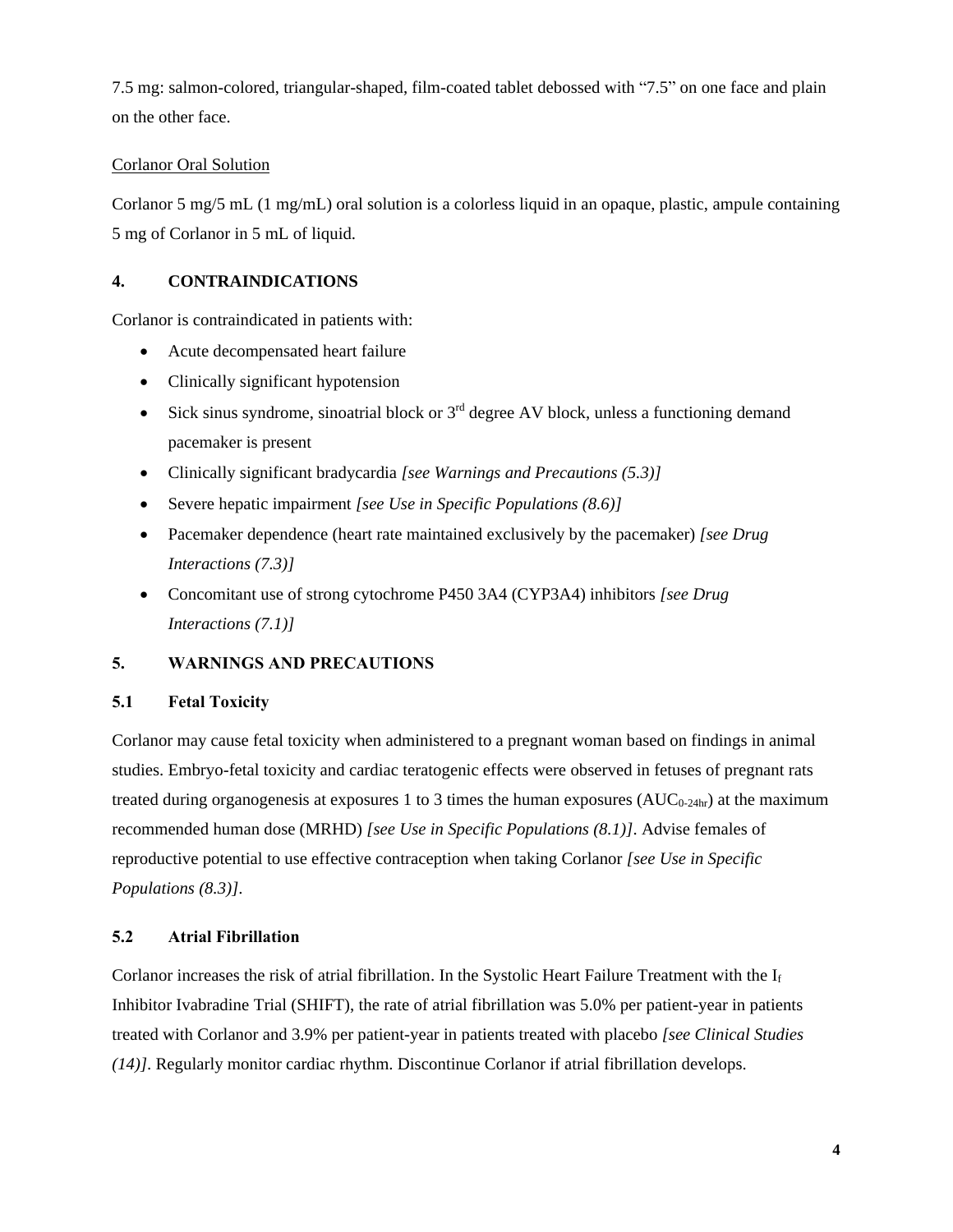7.5 mg: salmon-colored, triangular-shaped, film-coated tablet debossed with "7.5" on one face and plain on the other face.

# Corlanor Oral Solution

Corlanor 5 mg/5 mL (1 mg/mL) oral solution is a colorless liquid in an opaque, plastic, ampule containing 5 mg of Corlanor in 5 mL of liquid.

# **4. CONTRAINDICATIONS**

Corlanor is contraindicated in patients with:

- Acute decompensated heart failure
- Clinically significant hypotension
- Sick sinus syndrome, sinoatrial block or  $3<sup>rd</sup>$  degree AV block, unless a functioning demand pacemaker is present
- Clinically significant bradycardia *[see Warnings and Precautions (5.3)]*
- Severe hepatic impairment *[see Use in Specific Populations (8.6)]*
- Pacemaker dependence (heart rate maintained exclusively by the pacemaker) *[see Drug Interactions (7.3)]*
- Concomitant use of strong cytochrome P450 3A4 (CYP3A4) inhibitors *[see Drug Interactions (7.1)]*

# **5. WARNINGS AND PRECAUTIONS**

# **5.1 Fetal Toxicity**

Corlanor may cause fetal toxicity when administered to a pregnant woman based on findings in animal studies. Embryo-fetal toxicity and cardiac teratogenic effects were observed in fetuses of pregnant rats treated during organogenesis at exposures 1 to 3 times the human exposures  $(AUC_{0-24hr})$  at the maximum recommended human dose (MRHD) *[see Use in Specific Populations (8.1)]*. Advise females of reproductive potential to use effective contraception when taking Corlanor *[see Use in Specific Populations (8.3)]*.

# **5.2 Atrial Fibrillation**

Corlanor increases the risk of atrial fibrillation. In the Systolic Heart Failure Treatment with the I<sup>f</sup> Inhibitor Ivabradine Trial (SHIFT), the rate of atrial fibrillation was 5.0% per patient-year in patients treated with Corlanor and 3.9% per patient-year in patients treated with placebo *[see Clinical Studies (14)]*. Regularly monitor cardiac rhythm. Discontinue Corlanor if atrial fibrillation develops.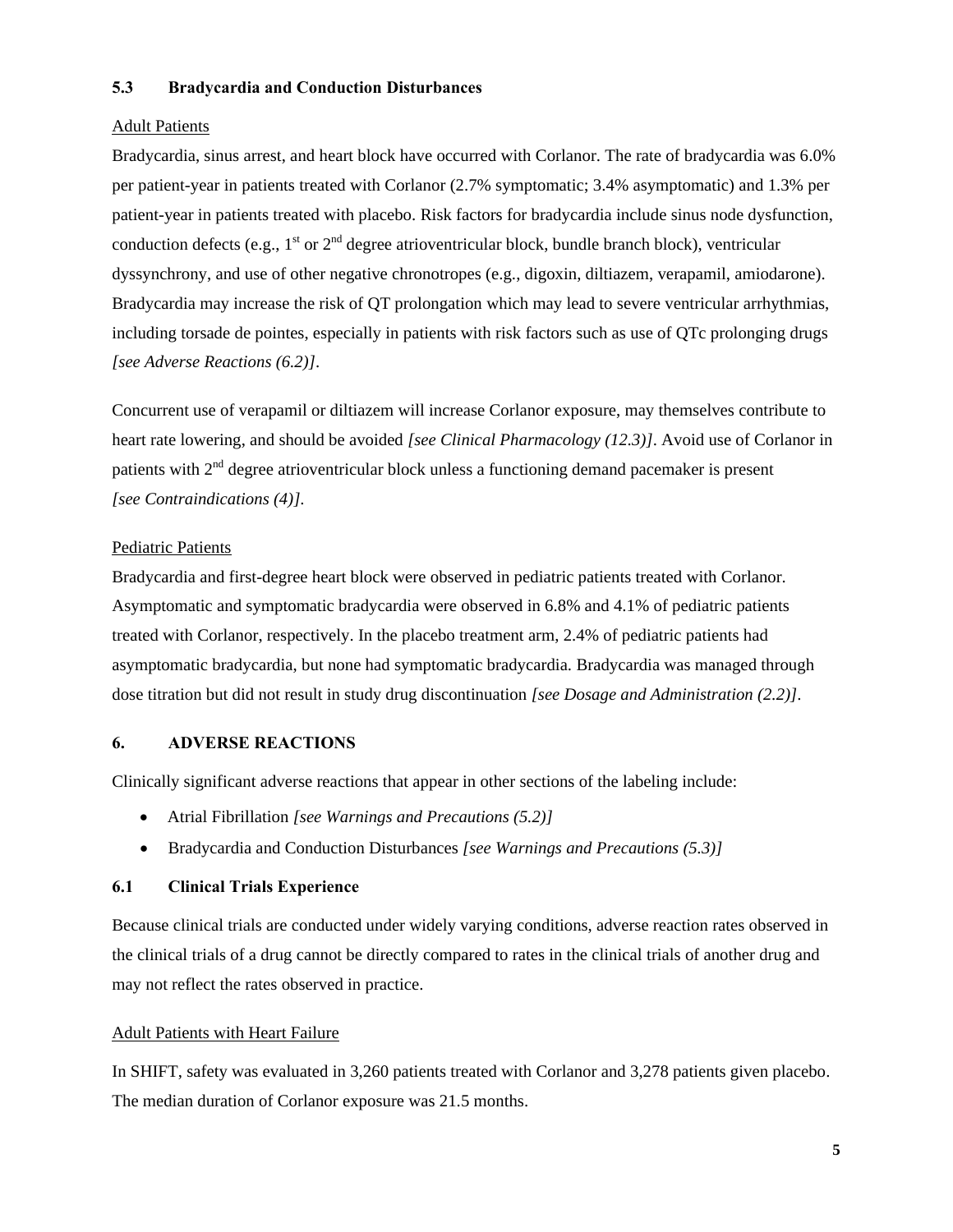### **5.3 Bradycardia and Conduction Disturbances**

### Adult Patients

Bradycardia, sinus arrest, and heart block have occurred with Corlanor. The rate of bradycardia was 6.0% per patient-year in patients treated with Corlanor (2.7% symptomatic; 3.4% asymptomatic) and 1.3% per patient-year in patients treated with placebo. Risk factors for bradycardia include sinus node dysfunction, conduction defects (e.g.,  $1<sup>st</sup>$  or  $2<sup>nd</sup>$  degree atrioventricular block, bundle branch block), ventricular dyssynchrony, and use of other negative chronotropes (e.g., digoxin, diltiazem, verapamil, amiodarone). Bradycardia may increase the risk of QT prolongation which may lead to severe ventricular arrhythmias, including torsade de pointes, especially in patients with risk factors such as use of QTc prolonging drugs *[see Adverse Reactions (6.2)]*.

Concurrent use of verapamil or diltiazem will increase Corlanor exposure, may themselves contribute to heart rate lowering, and should be avoided *[see Clinical Pharmacology (12.3)]*. Avoid use of Corlanor in patients with  $2<sup>nd</sup>$  degree atrioventricular block unless a functioning demand pacemaker is present *[see Contraindications (4)]*.

### Pediatric Patients

Bradycardia and first-degree heart block were observed in pediatric patients treated with Corlanor. Asymptomatic and symptomatic bradycardia were observed in 6.8% and 4.1% of pediatric patients treated with Corlanor, respectively. In the placebo treatment arm, 2.4% of pediatric patients had asymptomatic bradycardia, but none had symptomatic bradycardia. Bradycardia was managed through dose titration but did not result in study drug discontinuation *[see Dosage and Administration (2.2)]*.

### **6. ADVERSE REACTIONS**

Clinically significant adverse reactions that appear in other sections of the labeling include:

- Atrial Fibrillation *[see Warnings and Precautions (5.2)]*
- Bradycardia and Conduction Disturbances *[see Warnings and Precautions (5.3)]*

### **6.1 Clinical Trials Experience**

Because clinical trials are conducted under widely varying conditions, adverse reaction rates observed in the clinical trials of a drug cannot be directly compared to rates in the clinical trials of another drug and may not reflect the rates observed in practice.

### Adult Patients with Heart Failure

In SHIFT, safety was evaluated in 3,260 patients treated with Corlanor and 3,278 patients given placebo. The median duration of Corlanor exposure was 21.5 months.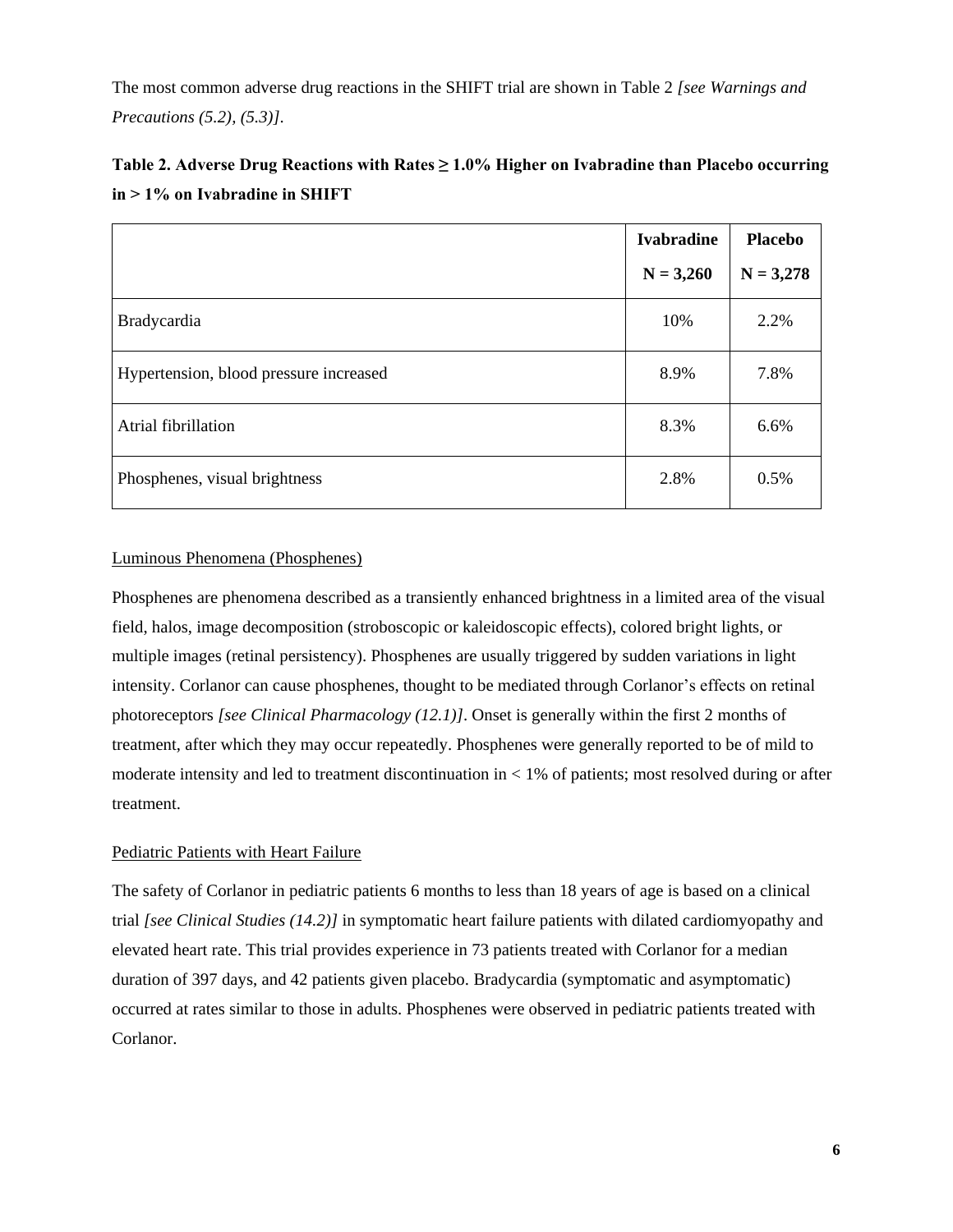The most common adverse drug reactions in the SHIFT trial are shown in Table 2 *[see Warnings and Precautions (5.2), (5.3)]*.

| Table 2. Adverse Drug Reactions with Rates $\geq 1.0\%$ Higher on Ivabradine than Placebo occurring |  |
|-----------------------------------------------------------------------------------------------------|--|
| $in > 1\%$ on Ivabradine in SHIFT                                                                   |  |

|                                        | <b>Ivabradine</b> | <b>Placebo</b> |
|----------------------------------------|-------------------|----------------|
|                                        | $N = 3,260$       | $N = 3,278$    |
| <b>Bradycardia</b>                     | 10%               | 2.2%           |
| Hypertension, blood pressure increased | 8.9%              | 7.8%           |
| Atrial fibrillation                    | 8.3%              | 6.6%           |
| Phosphenes, visual brightness          | 2.8%              | 0.5%           |

## Luminous Phenomena (Phosphenes)

Phosphenes are phenomena described as a transiently enhanced brightness in a limited area of the visual field, halos, image decomposition (stroboscopic or kaleidoscopic effects), colored bright lights, or multiple images (retinal persistency). Phosphenes are usually triggered by sudden variations in light intensity. Corlanor can cause phosphenes, thought to be mediated through Corlanor's effects on retinal photoreceptors *[see Clinical Pharmacology (12.1)]*. Onset is generally within the first 2 months of treatment, after which they may occur repeatedly. Phosphenes were generally reported to be of mild to moderate intensity and led to treatment discontinuation in < 1% of patients; most resolved during or after treatment.

### Pediatric Patients with Heart Failure

The safety of Corlanor in pediatric patients 6 months to less than 18 years of age is based on a clinical trial *[see Clinical Studies (14.2)]* in symptomatic heart failure patients with dilated cardiomyopathy and elevated heart rate. This trial provides experience in 73 patients treated with Corlanor for a median duration of 397 days, and 42 patients given placebo. Bradycardia (symptomatic and asymptomatic) occurred at rates similar to those in adults. Phosphenes were observed in pediatric patients treated with Corlanor.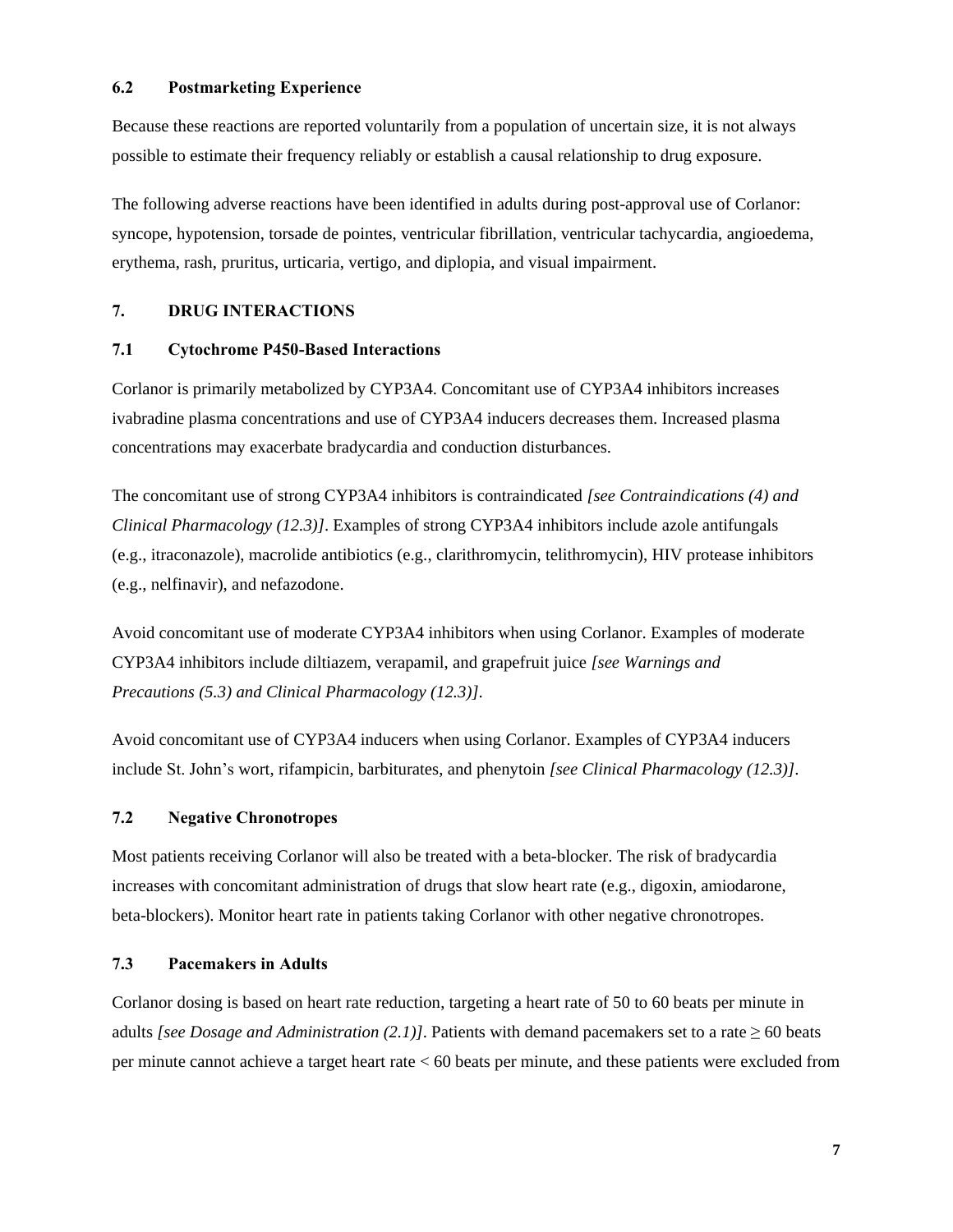### **6.2 Postmarketing Experience**

Because these reactions are reported voluntarily from a population of uncertain size, it is not always possible to estimate their frequency reliably or establish a causal relationship to drug exposure.

The following adverse reactions have been identified in adults during post-approval use of Corlanor: syncope, hypotension, torsade de pointes, ventricular fibrillation, ventricular tachycardia, angioedema, erythema, rash, pruritus, urticaria, vertigo, and diplopia, and visual impairment.

# **7. DRUG INTERACTIONS**

### **7.1 Cytochrome P450-Based Interactions**

Corlanor is primarily metabolized by CYP3A4. Concomitant use of CYP3A4 inhibitors increases ivabradine plasma concentrations and use of CYP3A4 inducers decreases them. Increased plasma concentrations may exacerbate bradycardia and conduction disturbances.

The concomitant use of strong CYP3A4 inhibitors is contraindicated *[see Contraindications (4) and Clinical Pharmacology (12.3)]*. Examples of strong CYP3A4 inhibitors include azole antifungals (e.g., itraconazole), macrolide antibiotics (e.g., clarithromycin, telithromycin), HIV protease inhibitors (e.g., nelfinavir), and nefazodone.

Avoid concomitant use of moderate CYP3A4 inhibitors when using Corlanor. Examples of moderate CYP3A4 inhibitors include diltiazem, verapamil, and grapefruit juice *[see Warnings and Precautions (5.3) and Clinical Pharmacology (12.3)]*.

Avoid concomitant use of CYP3A4 inducers when using Corlanor. Examples of CYP3A4 inducers include St. John's wort, rifampicin, barbiturates, and phenytoin *[see Clinical Pharmacology (12.3)]*.

### **7.2 Negative Chronotropes**

Most patients receiving Corlanor will also be treated with a beta-blocker. The risk of bradycardia increases with concomitant administration of drugs that slow heart rate (e.g., digoxin, amiodarone, beta-blockers). Monitor heart rate in patients taking Corlanor with other negative chronotropes.

### **7.3 Pacemakers in Adults**

Corlanor dosing is based on heart rate reduction, targeting a heart rate of 50 to 60 beats per minute in adults *[see Dosage and Administration (2.1)]*. Patients with demand pacemakers set to a rate  $\geq 60$  beats per minute cannot achieve a target heart rate < 60 beats per minute, and these patients were excluded from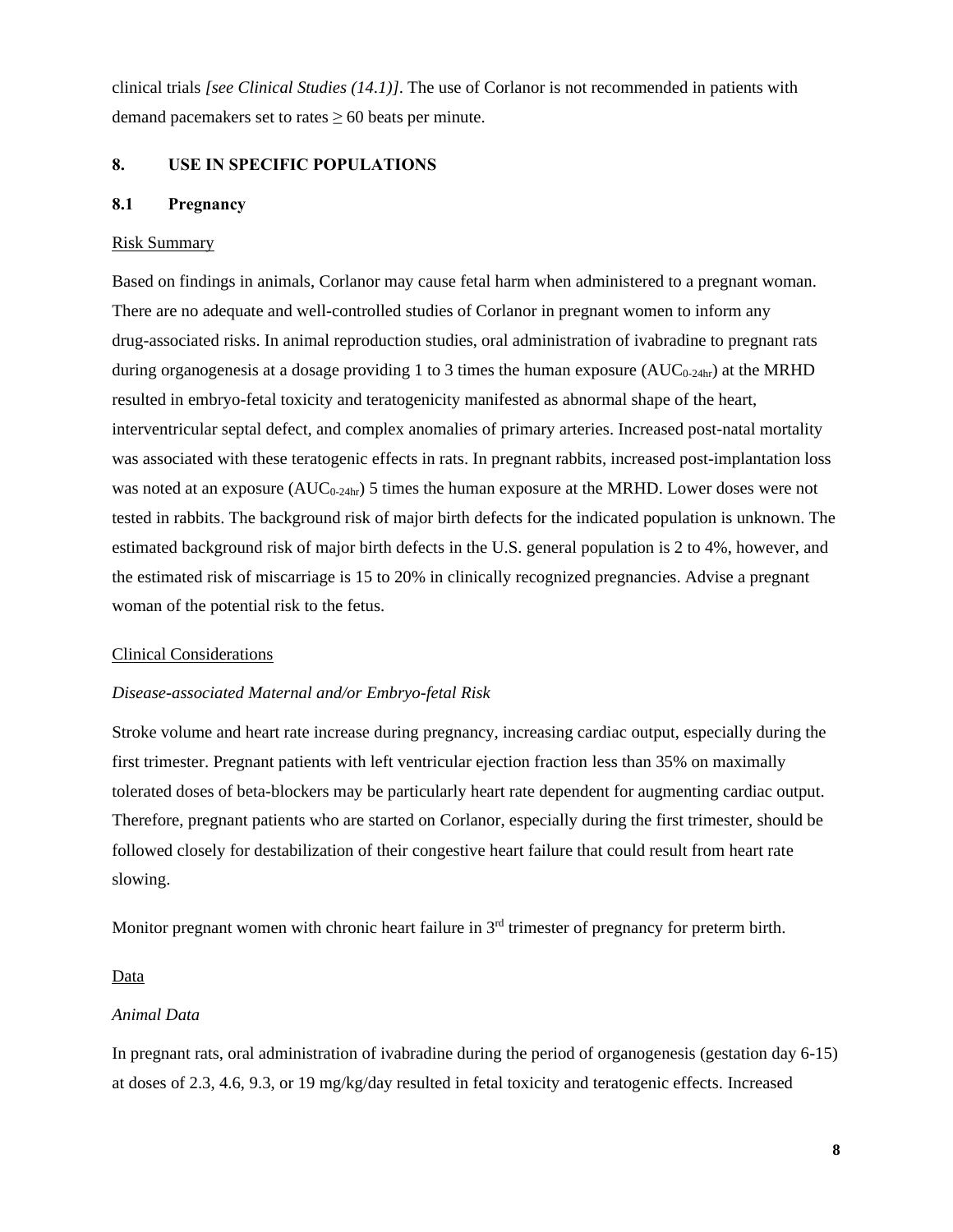clinical trials *[see Clinical Studies (14.1)]*. The use of Corlanor is not recommended in patients with demand pacemakers set to rates  $\geq 60$  beats per minute.

### **8. USE IN SPECIFIC POPULATIONS**

### **8.1 Pregnancy**

#### Risk Summary

Based on findings in animals, Corlanor may cause fetal harm when administered to a pregnant woman. There are no adequate and well-controlled studies of Corlanor in pregnant women to inform any drug-associated risks. In animal reproduction studies, oral administration of ivabradine to pregnant rats during organogenesis at a dosage providing 1 to 3 times the human exposure  $(AUC_{0.24hr})$  at the MRHD resulted in embryo-fetal toxicity and teratogenicity manifested as abnormal shape of the heart, interventricular septal defect, and complex anomalies of primary arteries. Increased post-natal mortality was associated with these teratogenic effects in rats. In pregnant rabbits, increased post-implantation loss was noted at an exposure  $(AUC_{0-24hr})$  5 times the human exposure at the MRHD. Lower doses were not tested in rabbits. The background risk of major birth defects for the indicated population is unknown. The estimated background risk of major birth defects in the U.S. general population is 2 to 4%, however, and the estimated risk of miscarriage is 15 to 20% in clinically recognized pregnancies. Advise a pregnant woman of the potential risk to the fetus.

#### Clinical Considerations

#### *Disease-associated Maternal and/or Embryo-fetal Risk*

Stroke volume and heart rate increase during pregnancy, increasing cardiac output, especially during the first trimester. Pregnant patients with left ventricular ejection fraction less than 35% on maximally tolerated doses of beta-blockers may be particularly heart rate dependent for augmenting cardiac output. Therefore, pregnant patients who are started on Corlanor, especially during the first trimester, should be followed closely for destabilization of their congestive heart failure that could result from heart rate slowing.

Monitor pregnant women with chronic heart failure in  $3<sup>rd</sup>$  trimester of pregnancy for preterm birth.

#### Data

#### *Animal Data*

In pregnant rats, oral administration of ivabradine during the period of organogenesis (gestation day 6-15) at doses of 2.3, 4.6, 9.3, or 19 mg/kg/day resulted in fetal toxicity and teratogenic effects. Increased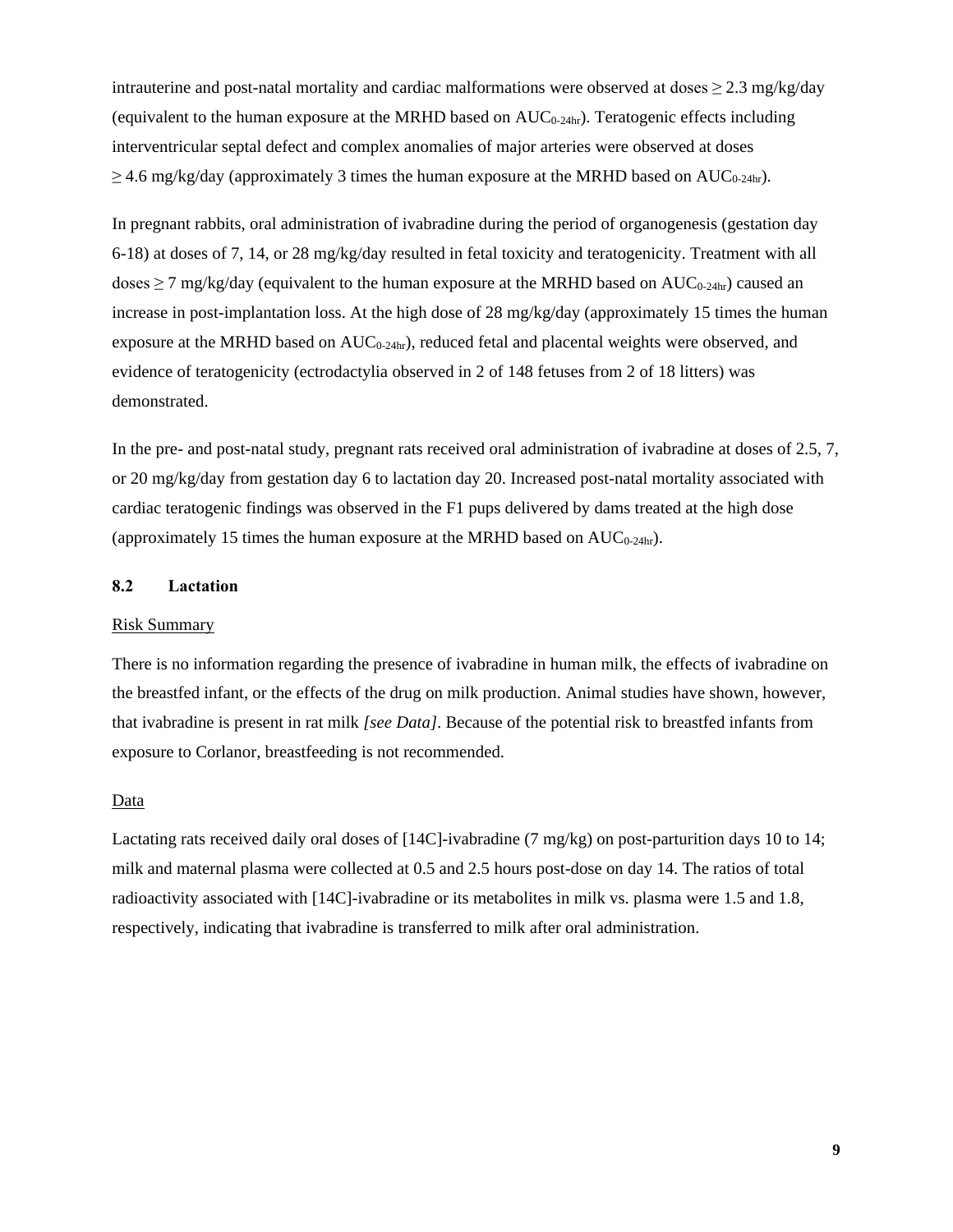intrauterine and post-natal mortality and cardiac malformations were observed at doses  $\geq$  2.3 mg/kg/day (equivalent to the human exposure at the MRHD based on  $AUC_{0.24hr}$ ). Teratogenic effects including interventricular septal defect and complex anomalies of major arteries were observed at doses  $\geq$  4.6 mg/kg/day (approximately 3 times the human exposure at the MRHD based on AUC<sub>0-24hr</sub>).

In pregnant rabbits, oral administration of ivabradine during the period of organogenesis (gestation day 6-18) at doses of 7, 14, or 28 mg/kg/day resulted in fetal toxicity and teratogenicity. Treatment with all doses  $\geq$  7 mg/kg/day (equivalent to the human exposure at the MRHD based on AUC<sub>0-24hr</sub>) caused an increase in post-implantation loss. At the high dose of 28 mg/kg/day (approximately 15 times the human exposure at the MRHD based on  $AUC_{0-24hr}$ , reduced fetal and placental weights were observed, and evidence of teratogenicity (ectrodactylia observed in 2 of 148 fetuses from 2 of 18 litters) was demonstrated.

In the pre- and post-natal study, pregnant rats received oral administration of ivabradine at doses of 2.5, 7, or 20 mg/kg/day from gestation day 6 to lactation day 20. Increased post-natal mortality associated with cardiac teratogenic findings was observed in the F1 pups delivered by dams treated at the high dose (approximately 15 times the human exposure at the MRHD based on  $AUC_{0-24hr}$ ).

### **8.2 Lactation**

#### Risk Summary

There is no information regarding the presence of ivabradine in human milk, the effects of ivabradine on the breastfed infant, or the effects of the drug on milk production. Animal studies have shown, however, that ivabradine is present in rat milk *[see Data]*. Because of the potential risk to breastfed infants from exposure to Corlanor, breastfeeding is not recommended.

#### Data

Lactating rats received daily oral doses of [14C]-ivabradine (7 mg/kg) on post-parturition days 10 to 14; milk and maternal plasma were collected at 0.5 and 2.5 hours post-dose on day 14. The ratios of total radioactivity associated with [14C]-ivabradine or its metabolites in milk vs. plasma were 1.5 and 1.8, respectively, indicating that ivabradine is transferred to milk after oral administration.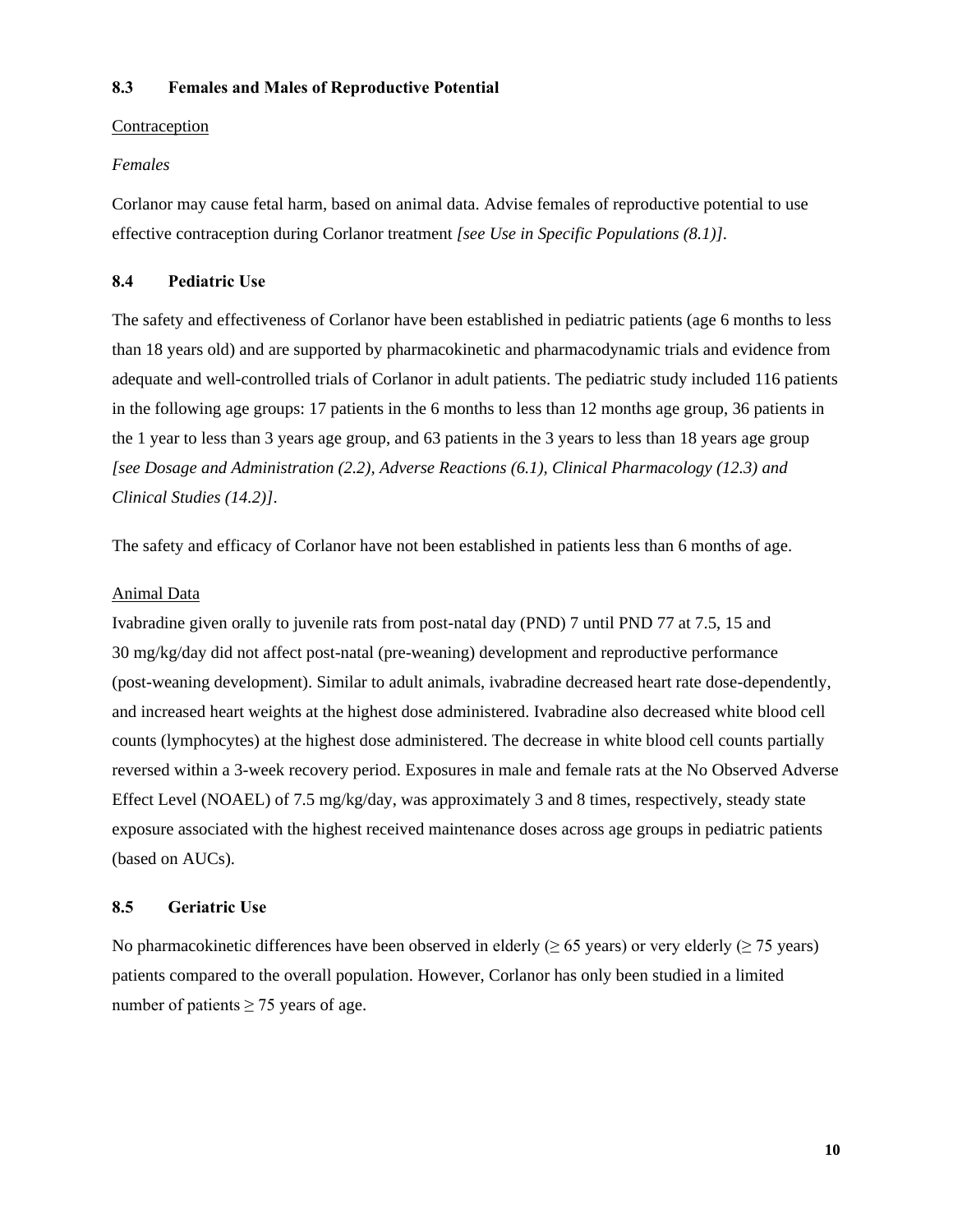### **8.3 Females and Males of Reproductive Potential**

### Contraception

### *Females*

Corlanor may cause fetal harm, based on animal data. Advise females of reproductive potential to use effective contraception during Corlanor treatment *[see Use in Specific Populations (8.1)]*.

### **8.4 Pediatric Use**

The safety and effectiveness of Corlanor have been established in pediatric patients (age 6 months to less than 18 years old) and are supported by pharmacokinetic and pharmacodynamic trials and evidence from adequate and well-controlled trials of Corlanor in adult patients. The pediatric study included 116 patients in the following age groups: 17 patients in the 6 months to less than 12 months age group, 36 patients in the 1 year to less than 3 years age group, and 63 patients in the 3 years to less than 18 years age group *[see Dosage and Administration (2.2), Adverse Reactions (6.1), Clinical Pharmacology (12.3) and Clinical Studies (14.2)]*.

The safety and efficacy of Corlanor have not been established in patients less than 6 months of age.

### Animal Data

Ivabradine given orally to juvenile rats from post-natal day (PND) 7 until PND 77 at 7.5, 15 and 30 mg/kg/day did not affect post-natal (pre-weaning) development and reproductive performance (post-weaning development). Similar to adult animals, ivabradine decreased heart rate dose-dependently, and increased heart weights at the highest dose administered. Ivabradine also decreased white blood cell counts (lymphocytes) at the highest dose administered. The decrease in white blood cell counts partially reversed within a 3-week recovery period. Exposures in male and female rats at the No Observed Adverse Effect Level (NOAEL) of 7.5 mg/kg/day, was approximately 3 and 8 times, respectively, steady state exposure associated with the highest received maintenance doses across age groups in pediatric patients (based on AUCs).

### **8.5 Geriatric Use**

No pharmacokinetic differences have been observed in elderly ( $\geq 65$  years) or very elderly ( $\geq 75$  years) patients compared to the overall population. However, Corlanor has only been studied in a limited number of patients  $\geq$  75 years of age.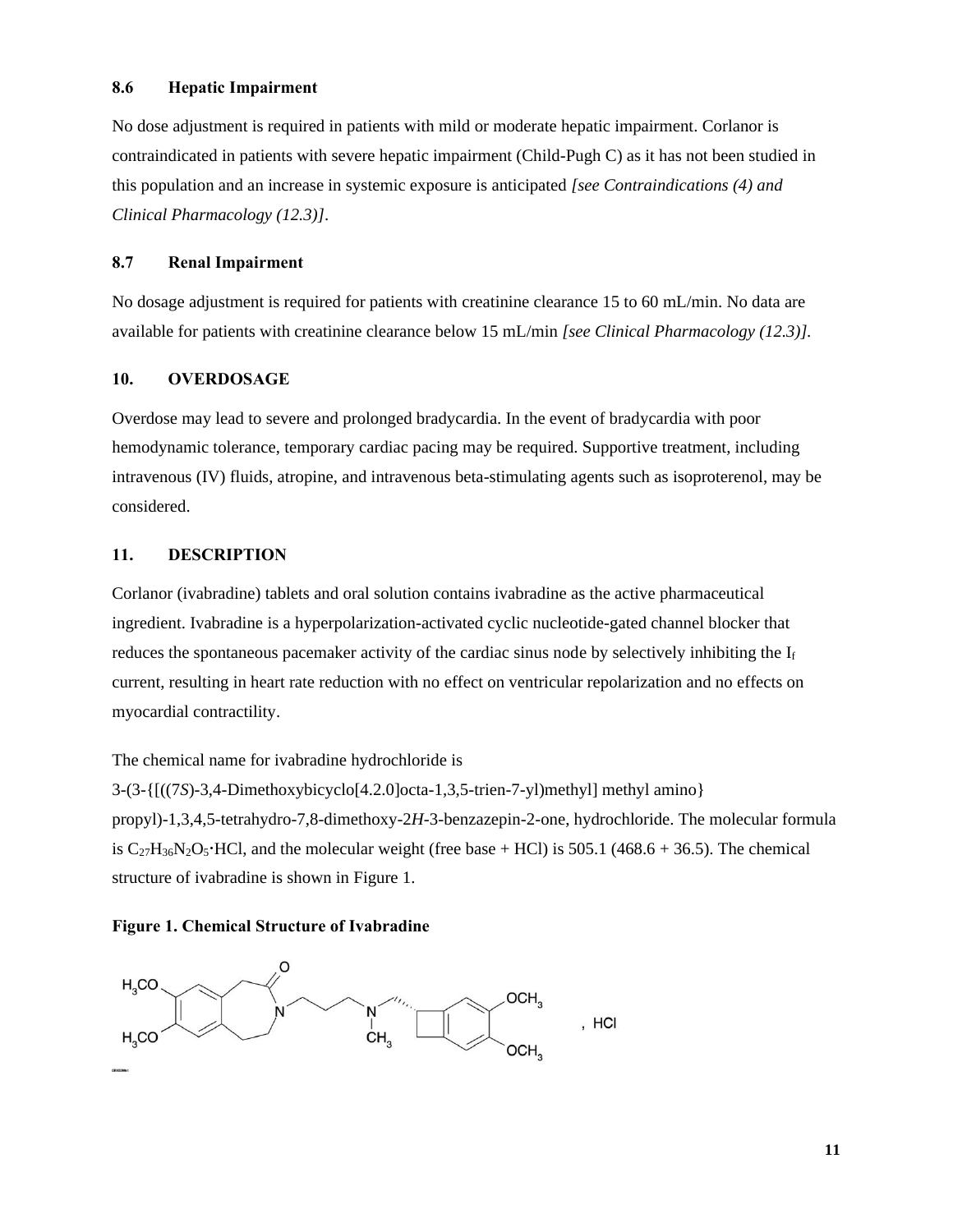### **8.6 Hepatic Impairment**

No dose adjustment is required in patients with mild or moderate hepatic impairment. Corlanor is contraindicated in patients with severe hepatic impairment (Child-Pugh C) as it has not been studied in this population and an increase in systemic exposure is anticipated *[see Contraindications (4) and Clinical Pharmacology (12.3)]*.

### **8.7 Renal Impairment**

No dosage adjustment is required for patients with creatinine clearance 15 to 60 mL/min. No data are available for patients with creatinine clearance below 15 mL/min *[see Clinical Pharmacology (12.3)].*

### **10. OVERDOSAGE**

Overdose may lead to severe and prolonged bradycardia. In the event of bradycardia with poor hemodynamic tolerance, temporary cardiac pacing may be required. Supportive treatment, including intravenous (IV) fluids, atropine, and intravenous beta-stimulating agents such as isoproterenol, may be considered.

### **11. DESCRIPTION**

Corlanor (ivabradine) tablets and oral solution contains ivabradine as the active pharmaceutical ingredient. Ivabradine is a hyperpolarization-activated cyclic nucleotide-gated channel blocker that reduces the spontaneous pacemaker activity of the cardiac sinus node by selectively inhibiting the  $I_f$ current, resulting in heart rate reduction with no effect on ventricular repolarization and no effects on myocardial contractility.

The chemical name for ivabradine hydrochloride is

3-(3-{[((7*S*)-3,4-Dimethoxybicyclo[4.2.0]octa-1,3,5-trien-7-yl)methyl] methyl amino} propyl)-1,3,4,5-tetrahydro-7,8-dimethoxy-2*H*-3-benzazepin-2-one, hydrochloride. The molecular formula is  $C_{27}H_{36}N_2O_5$  HCl, and the molecular weight (free base + HCl) is 505.1 (468.6 + 36.5). The chemical structure of ivabradine is shown in Figure 1.

#### **Figure 1. Chemical Structure of Ivabradine**

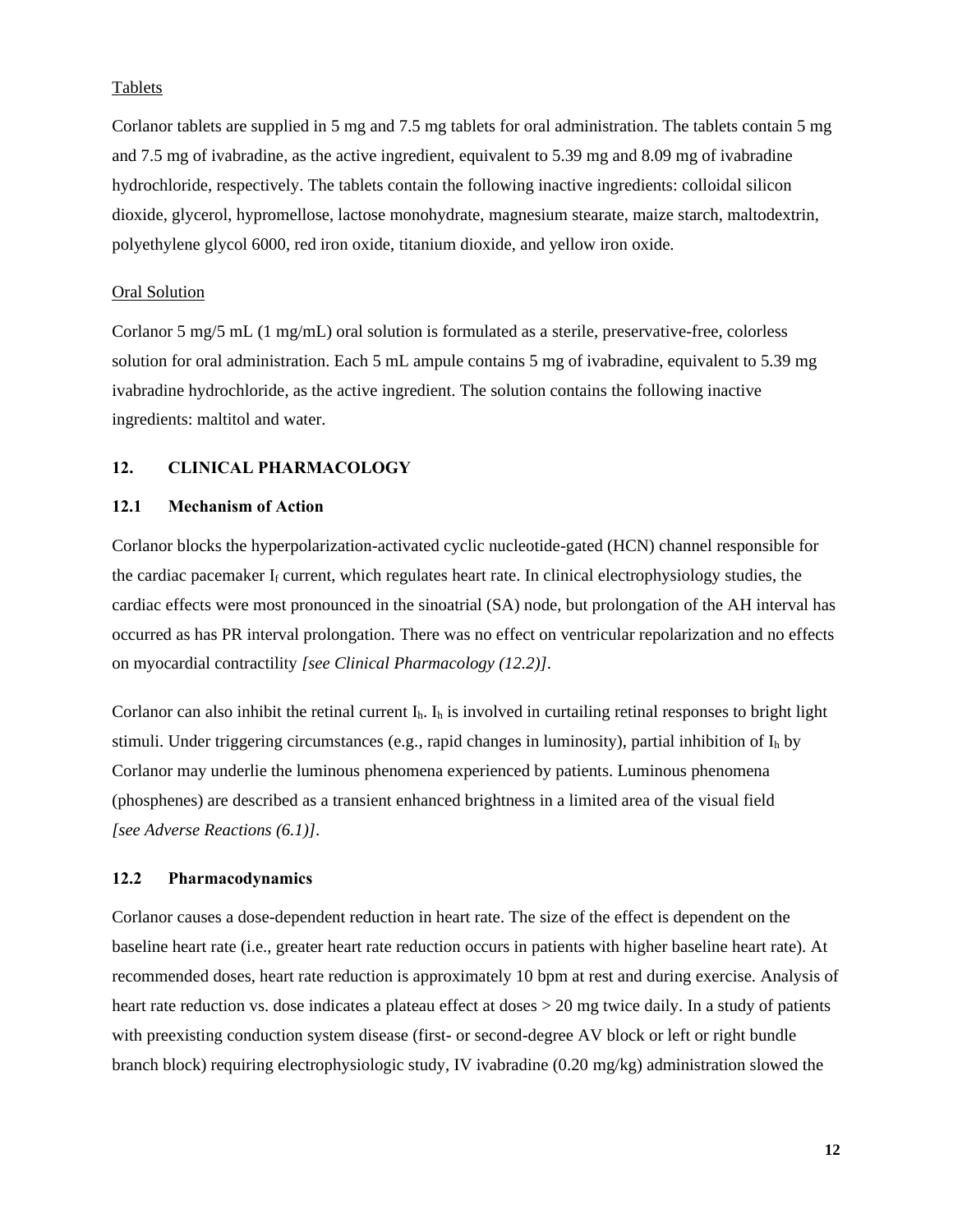### **Tablets**

Corlanor tablets are supplied in 5 mg and 7.5 mg tablets for oral administration. The tablets contain 5 mg and 7.5 mg of ivabradine, as the active ingredient, equivalent to 5.39 mg and 8.09 mg of ivabradine hydrochloride, respectively. The tablets contain the following inactive ingredients: colloidal silicon dioxide, glycerol, hypromellose, lactose monohydrate, magnesium stearate, maize starch, maltodextrin, polyethylene glycol 6000, red iron oxide, titanium dioxide, and yellow iron oxide.

#### Oral Solution

Corlanor 5 mg/5 mL (1 mg/mL) oral solution is formulated as a sterile, preservative-free, colorless solution for oral administration. Each 5 mL ampule contains 5 mg of ivabradine, equivalent to 5.39 mg ivabradine hydrochloride, as the active ingredient. The solution contains the following inactive ingredients: maltitol and water.

#### **12. CLINICAL PHARMACOLOGY**

### **12.1 Mechanism of Action**

Corlanor blocks the hyperpolarization-activated cyclic nucleotide-gated (HCN) channel responsible for the cardiac pacemaker  $I_f$  current, which regulates heart rate. In clinical electrophysiology studies, the cardiac effects were most pronounced in the sinoatrial (SA) node, but prolongation of the AH interval has occurred as has PR interval prolongation. There was no effect on ventricular repolarization and no effects on myocardial contractility *[see Clinical Pharmacology (12.2)]*.

Corlanor can also inhibit the retinal current  $I_h$ .  $I_h$  is involved in curtailing retinal responses to bright light stimuli. Under triggering circumstances (e.g., rapid changes in luminosity), partial inhibition of  $I_h$  by Corlanor may underlie the luminous phenomena experienced by patients. Luminous phenomena (phosphenes) are described as a transient enhanced brightness in a limited area of the visual field *[see Adverse Reactions (6.1)]*.

### **12.2 Pharmacodynamics**

Corlanor causes a dose-dependent reduction in heart rate. The size of the effect is dependent on the baseline heart rate (i.e., greater heart rate reduction occurs in patients with higher baseline heart rate). At recommended doses, heart rate reduction is approximately 10 bpm at rest and during exercise. Analysis of heart rate reduction vs. dose indicates a plateau effect at doses > 20 mg twice daily. In a study of patients with preexisting conduction system disease (first- or second-degree AV block or left or right bundle branch block) requiring electrophysiologic study, IV ivabradine (0.20 mg/kg) administration slowed the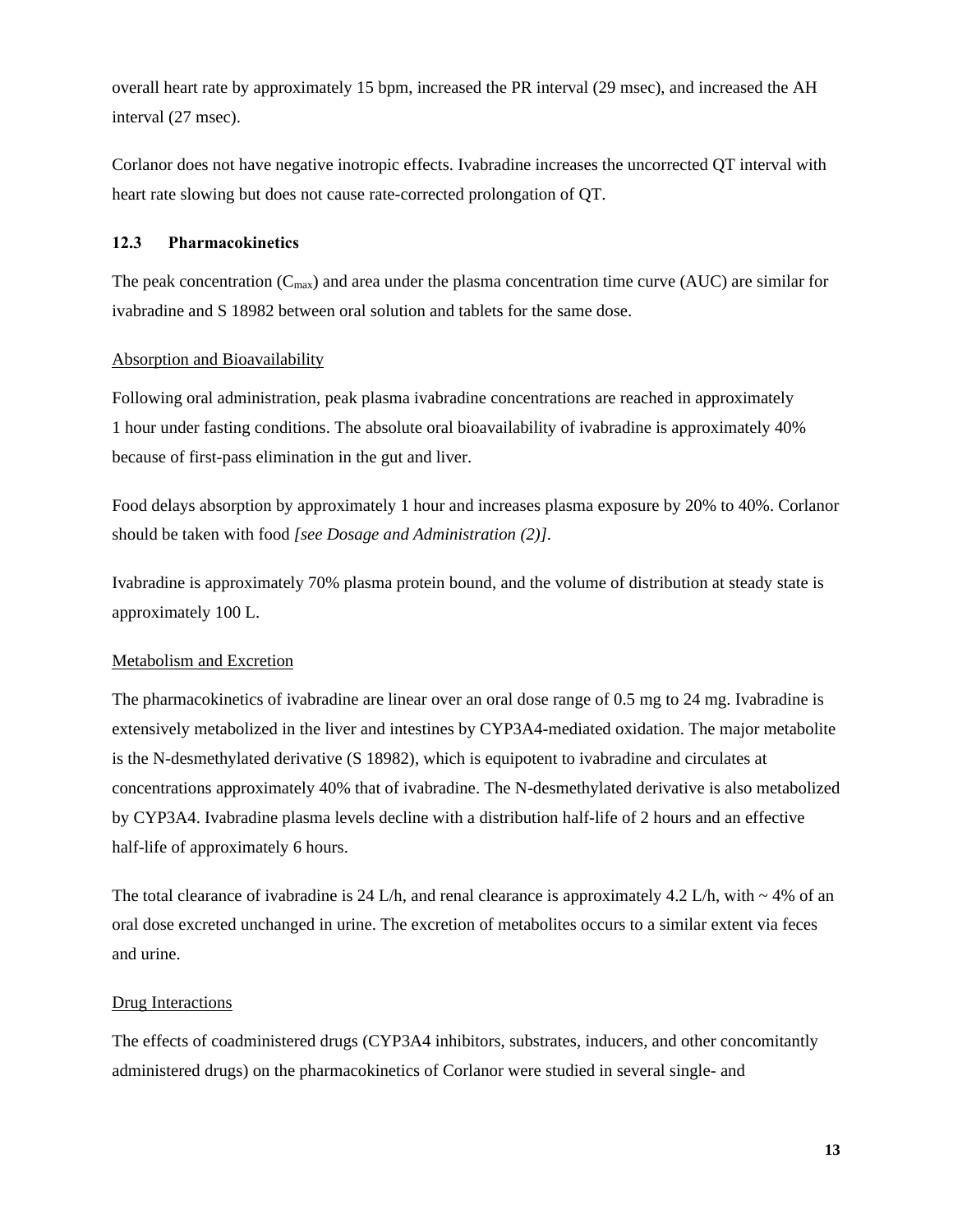overall heart rate by approximately 15 bpm, increased the PR interval (29 msec), and increased the AH interval (27 msec).

Corlanor does not have negative inotropic effects. Ivabradine increases the uncorrected QT interval with heart rate slowing but does not cause rate-corrected prolongation of QT.

### **12.3 Pharmacokinetics**

The peak concentration  $(C_{\text{max}})$  and area under the plasma concentration time curve (AUC) are similar for ivabradine and S 18982 between oral solution and tablets for the same dose.

### Absorption and Bioavailability

Following oral administration, peak plasma ivabradine concentrations are reached in approximately 1 hour under fasting conditions. The absolute oral bioavailability of ivabradine is approximately 40% because of first-pass elimination in the gut and liver.

Food delays absorption by approximately 1 hour and increases plasma exposure by 20% to 40%. Corlanor should be taken with food *[see Dosage and Administration (2)]*.

Ivabradine is approximately 70% plasma protein bound, and the volume of distribution at steady state is approximately 100 L.

### Metabolism and Excretion

The pharmacokinetics of ivabradine are linear over an oral dose range of 0.5 mg to 24 mg. Ivabradine is extensively metabolized in the liver and intestines by CYP3A4-mediated oxidation. The major metabolite is the N-desmethylated derivative (S 18982), which is equipotent to ivabradine and circulates at concentrations approximately 40% that of ivabradine. The N-desmethylated derivative is also metabolized by CYP3A4. Ivabradine plasma levels decline with a distribution half-life of 2 hours and an effective half-life of approximately 6 hours.

The total clearance of ivabradine is 24 L/h, and renal clearance is approximately 4.2 L/h, with  $\sim 4\%$  of an oral dose excreted unchanged in urine. The excretion of metabolites occurs to a similar extent via feces and urine.

### Drug Interactions

The effects of coadministered drugs (CYP3A4 inhibitors, substrates, inducers, and other concomitantly administered drugs) on the pharmacokinetics of Corlanor were studied in several single- and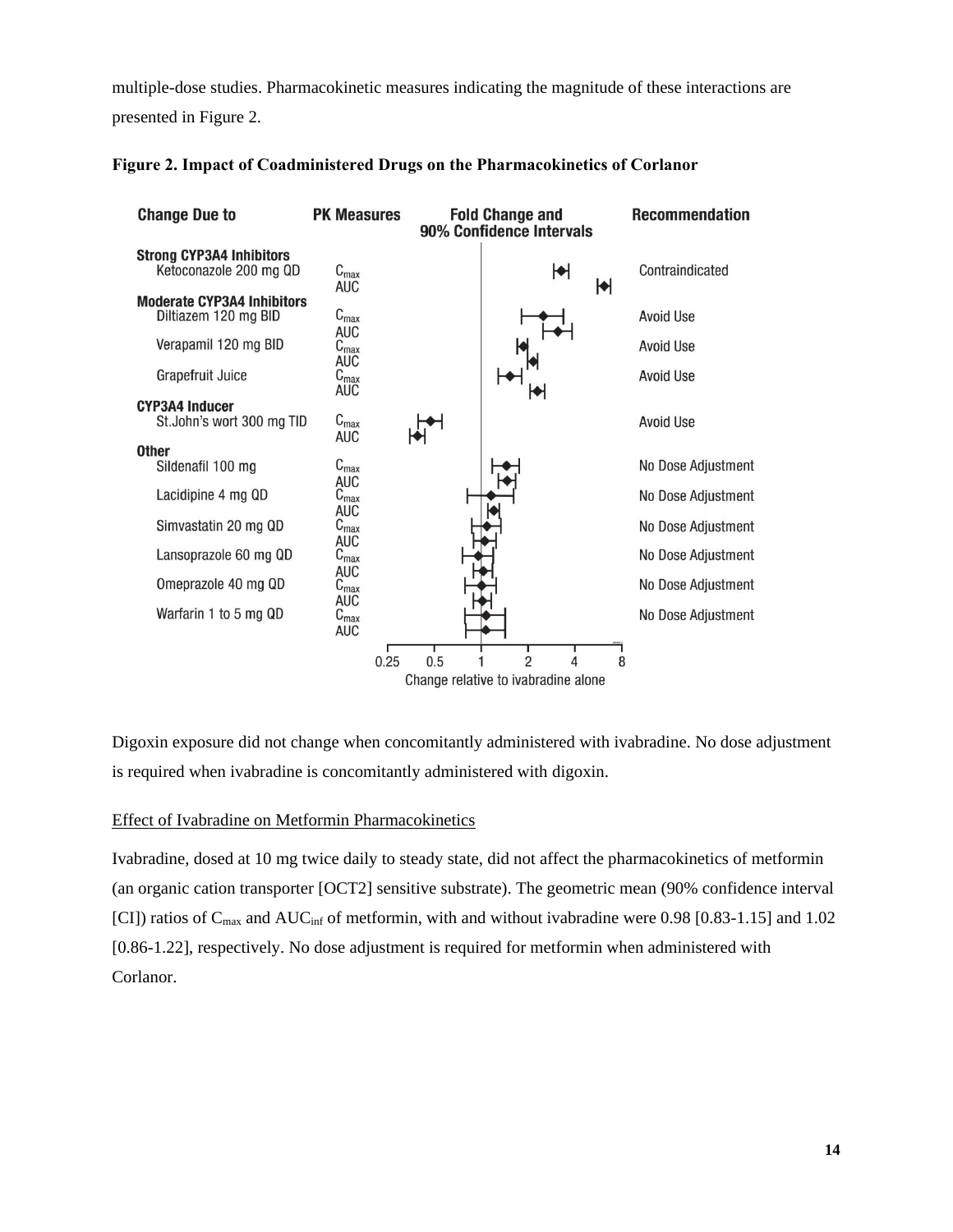multiple-dose studies. Pharmacokinetic measures indicating the magnitude of these interactions are presented in Figure 2.

| <b>Change Due to</b>                                                              | <b>PK Measures</b>                                 |      |     | <b>Fold Change and</b><br>90% Confidence Intervals |   |   | <b>Recommendation</b>  |
|-----------------------------------------------------------------------------------|----------------------------------------------------|------|-----|----------------------------------------------------|---|---|------------------------|
| <b>Strong CYP3A4 Inhibitors</b><br>Ketoconazole 200 mg QD                         | $C_{\text{max}}$<br><b>AUC</b>                     |      |     |                                                    | ₩ | M | Contraindicated        |
| <b>Moderate CYP3A4 Inhibitors</b><br>Diltiazem 120 mg BID<br>Verapamil 120 mg BID | $C_{\text{max}}$<br><b>AUC</b><br>$C_{\text{max}}$ |      |     |                                                    |   |   | Avoid Use<br>Avoid Use |
| Grapefruit Juice                                                                  | <b>AUC</b><br>$C_{\text{max}}$<br><b>AUC</b>       |      |     |                                                    |   |   | <b>Avoid Use</b>       |
| <b>CYP3A4 Inducer</b><br>St.John's wort 300 mg TID                                | $C_{\text{max}}$<br>AUC                            |      |     |                                                    |   |   | <b>Avoid Use</b>       |
| <b>Other</b><br>Sildenafil 100 mg                                                 | $C_{\text{max}}$                                   |      |     |                                                    |   |   | No Dose Adjustment     |
| Lacidipine 4 mg QD                                                                | <b>AUC</b><br>$C_{\text{max}}$                     |      |     |                                                    |   |   | No Dose Adjustment     |
| Simvastatin 20 mg QD                                                              | <b>AUC</b><br>$C_{\text{max}}$                     |      |     |                                                    |   |   | No Dose Adjustment     |
| Lansoprazole 60 mg QD                                                             | <b>AUC</b><br>$C_{\text{max}}$                     |      |     |                                                    |   |   | No Dose Adjustment     |
| Omeprazole 40 mg QD                                                               | <b>AUC</b><br>$C_{\text{max}}$                     |      |     |                                                    |   |   | No Dose Adjustment     |
| Warfarin 1 to 5 mg QD                                                             | <b>AUC</b><br>$C_{\text{max}}$<br><b>AUC</b>       |      |     |                                                    |   |   | No Dose Adjustment     |
|                                                                                   |                                                    | 0.25 | 0.5 | $\mathfrak{p}$                                     |   | 8 |                        |
|                                                                                   |                                                    |      |     | Change relative to ivabradine alone                |   |   |                        |

### **Figure 2. Impact of Coadministered Drugs on the Pharmacokinetics of Corlanor**

Digoxin exposure did not change when concomitantly administered with ivabradine. No dose adjustment is required when ivabradine is concomitantly administered with digoxin.

### Effect of Ivabradine on Metformin Pharmacokinetics

Ivabradine, dosed at 10 mg twice daily to steady state, did not affect the pharmacokinetics of metformin (an organic cation transporter [OCT2] sensitive substrate). The geometric mean (90% confidence interval [CI]) ratios of  $C_{\text{max}}$  and  $AUC_{\text{inf}}$  of metformin, with and without ivabradine were 0.98 [0.83-1.15] and 1.02 [0.86-1.22], respectively. No dose adjustment is required for metformin when administered with Corlanor.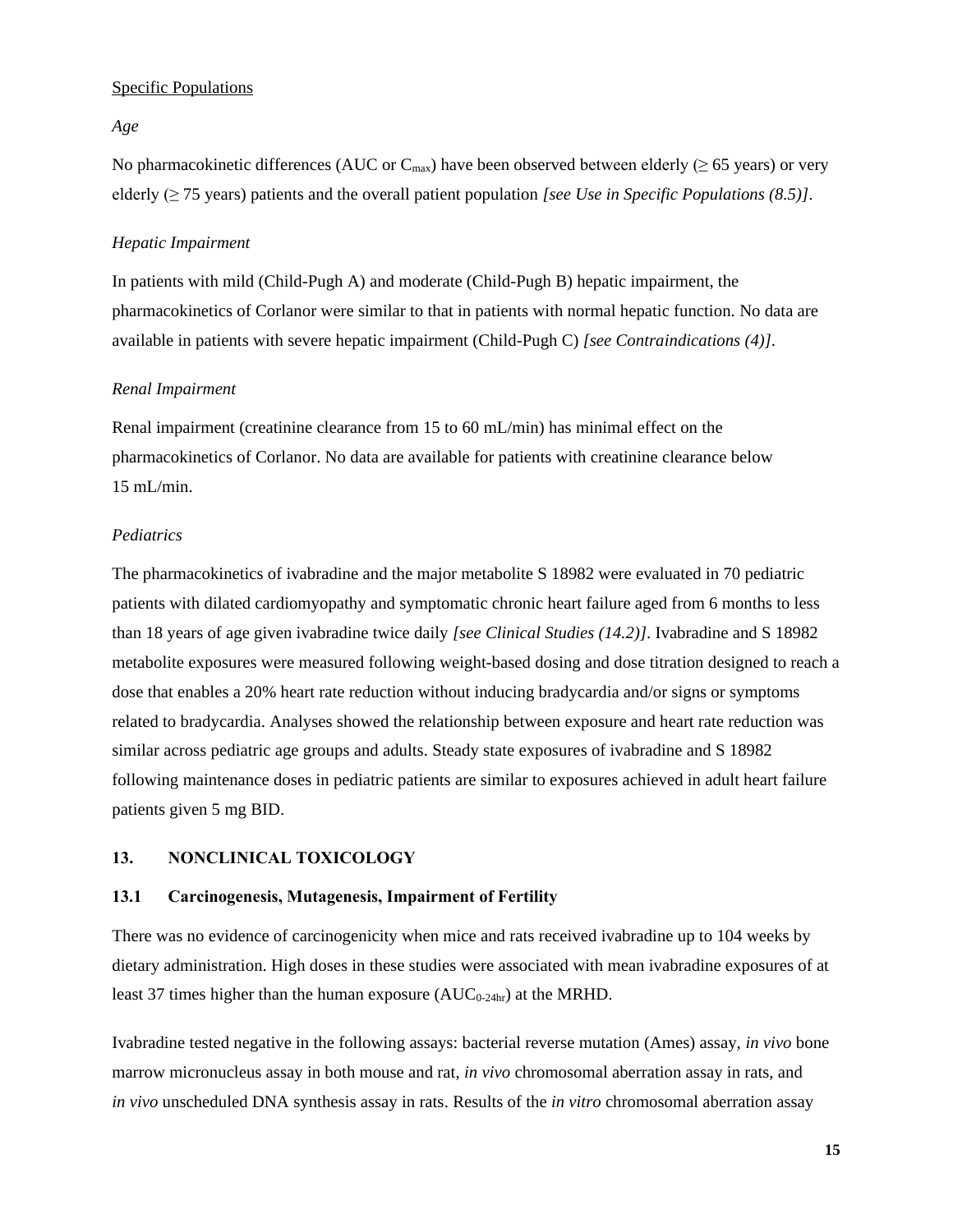### Specific Populations

### *Age*

No pharmacokinetic differences (AUC or  $C_{\text{max}}$ ) have been observed between elderly ( $\geq$  65 years) or very elderly (≥ 75 years) patients and the overall patient population *[see Use in Specific Populations (8.5)]*.

#### *Hepatic Impairment*

In patients with mild (Child-Pugh A) and moderate (Child-Pugh B) hepatic impairment, the pharmacokinetics of Corlanor were similar to that in patients with normal hepatic function. No data are available in patients with severe hepatic impairment (Child-Pugh C) *[see Contraindications (4)]*.

### *Renal Impairment*

Renal impairment (creatinine clearance from 15 to 60 mL/min) has minimal effect on the pharmacokinetics of Corlanor. No data are available for patients with creatinine clearance below 15 mL/min.

#### *Pediatrics*

The pharmacokinetics of ivabradine and the major metabolite S 18982 were evaluated in 70 pediatric patients with dilated cardiomyopathy and symptomatic chronic heart failure aged from 6 months to less than 18 years of age given ivabradine twice daily *[see Clinical Studies (14.2)]*. Ivabradine and S 18982 metabolite exposures were measured following weight-based dosing and dose titration designed to reach a dose that enables a 20% heart rate reduction without inducing bradycardia and/or signs or symptoms related to bradycardia. Analyses showed the relationship between exposure and heart rate reduction was similar across pediatric age groups and adults. Steady state exposures of ivabradine and S 18982 following maintenance doses in pediatric patients are similar to exposures achieved in adult heart failure patients given 5 mg BID.

### **13. NONCLINICAL TOXICOLOGY**

### **13.1 Carcinogenesis, Mutagenesis, Impairment of Fertility**

There was no evidence of carcinogenicity when mice and rats received ivabradine up to 104 weeks by dietary administration. High doses in these studies were associated with mean ivabradine exposures of at least 37 times higher than the human exposure  $(AUC_{0.24hr})$  at the MRHD.

Ivabradine tested negative in the following assays: bacterial reverse mutation (Ames) assay, *in vivo* bone marrow micronucleus assay in both mouse and rat, *in vivo* chromosomal aberration assay in rats, and *in vivo* unscheduled DNA synthesis assay in rats. Results of the *in vitro* chromosomal aberration assay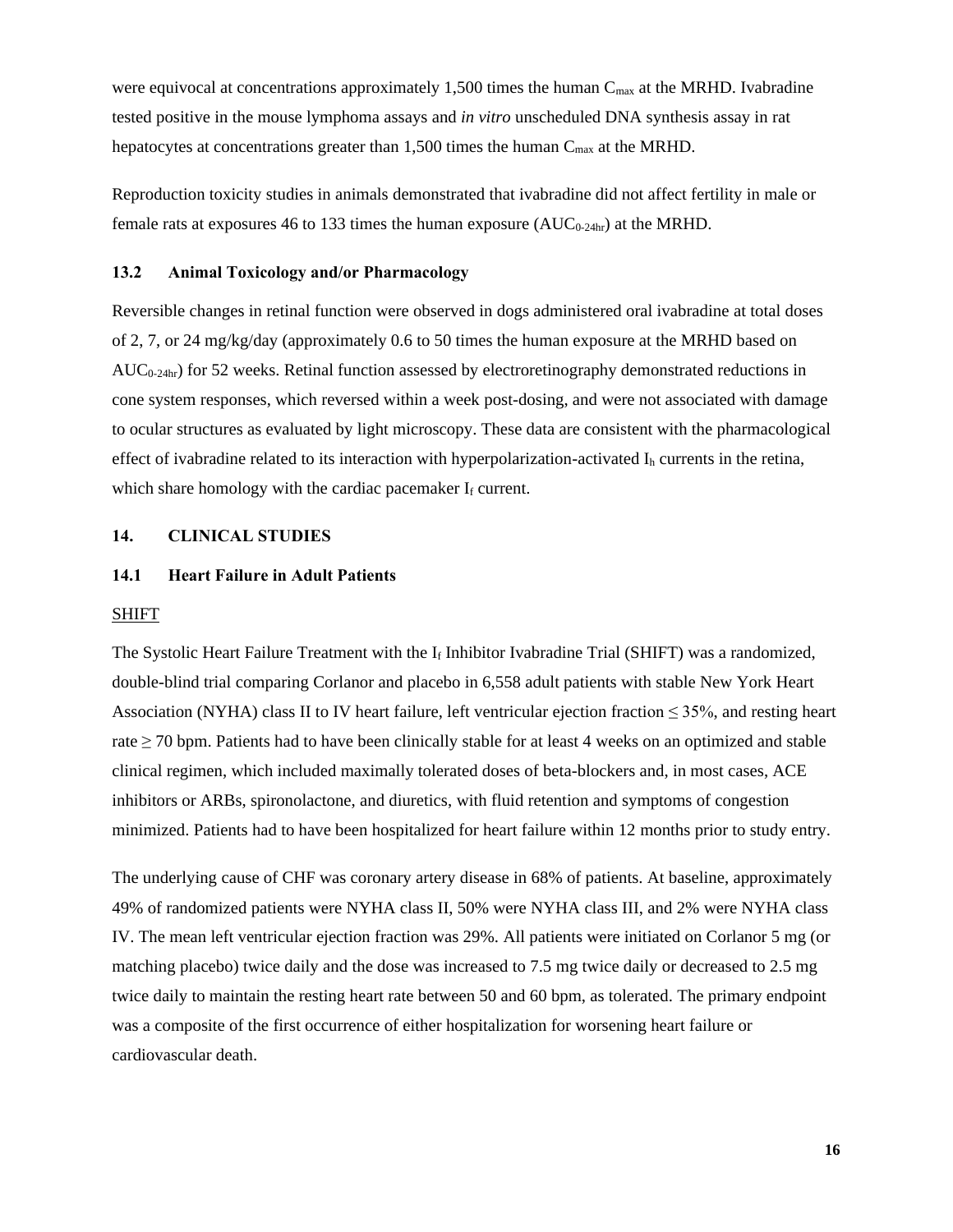were equivocal at concentrations approximately 1,500 times the human  $C_{\text{max}}$  at the MRHD. Ivabradine tested positive in the mouse lymphoma assays and *in vitro* unscheduled DNA synthesis assay in rat hepatocytes at concentrations greater than  $1,500$  times the human  $C_{\text{max}}$  at the MRHD.

Reproduction toxicity studies in animals demonstrated that ivabradine did not affect fertility in male or female rats at exposures 46 to 133 times the human exposure  $(AUC_{0.24hr})$  at the MRHD.

#### **13.2 Animal Toxicology and/or Pharmacology**

Reversible changes in retinal function were observed in dogs administered oral ivabradine at total doses of 2, 7, or 24 mg/kg/day (approximately 0.6 to 50 times the human exposure at the MRHD based on  $AUC_{0.24hr}$ ) for 52 weeks. Retinal function assessed by electroretinography demonstrated reductions in cone system responses, which reversed within a week post-dosing, and were not associated with damage to ocular structures as evaluated by light microscopy. These data are consistent with the pharmacological effect of ivabradine related to its interaction with hyperpolarization-activated  $I_h$  currents in the retina, which share homology with the cardiac pacemaker  $I_f$  current.

### **14. CLINICAL STUDIES**

### **14.1 Heart Failure in Adult Patients**

#### SHIFT

The Systolic Heart Failure Treatment with the  $I_f$  Inhibitor Ivabradine Trial (SHIFT) was a randomized, double-blind trial comparing Corlanor and placebo in 6,558 adult patients with stable New York Heart Association (NYHA) class II to IV heart failure, left ventricular ejection fraction  $\leq$  35%, and resting heart rate  $\geq$  70 bpm. Patients had to have been clinically stable for at least 4 weeks on an optimized and stable clinical regimen, which included maximally tolerated doses of beta-blockers and, in most cases, ACE inhibitors or ARBs, spironolactone, and diuretics, with fluid retention and symptoms of congestion minimized. Patients had to have been hospitalized for heart failure within 12 months prior to study entry.

The underlying cause of CHF was coronary artery disease in 68% of patients. At baseline, approximately 49% of randomized patients were NYHA class II, 50% were NYHA class III, and 2% were NYHA class IV. The mean left ventricular ejection fraction was 29%. All patients were initiated on Corlanor 5 mg (or matching placebo) twice daily and the dose was increased to 7.5 mg twice daily or decreased to 2.5 mg twice daily to maintain the resting heart rate between 50 and 60 bpm, as tolerated. The primary endpoint was a composite of the first occurrence of either hospitalization for worsening heart failure or cardiovascular death.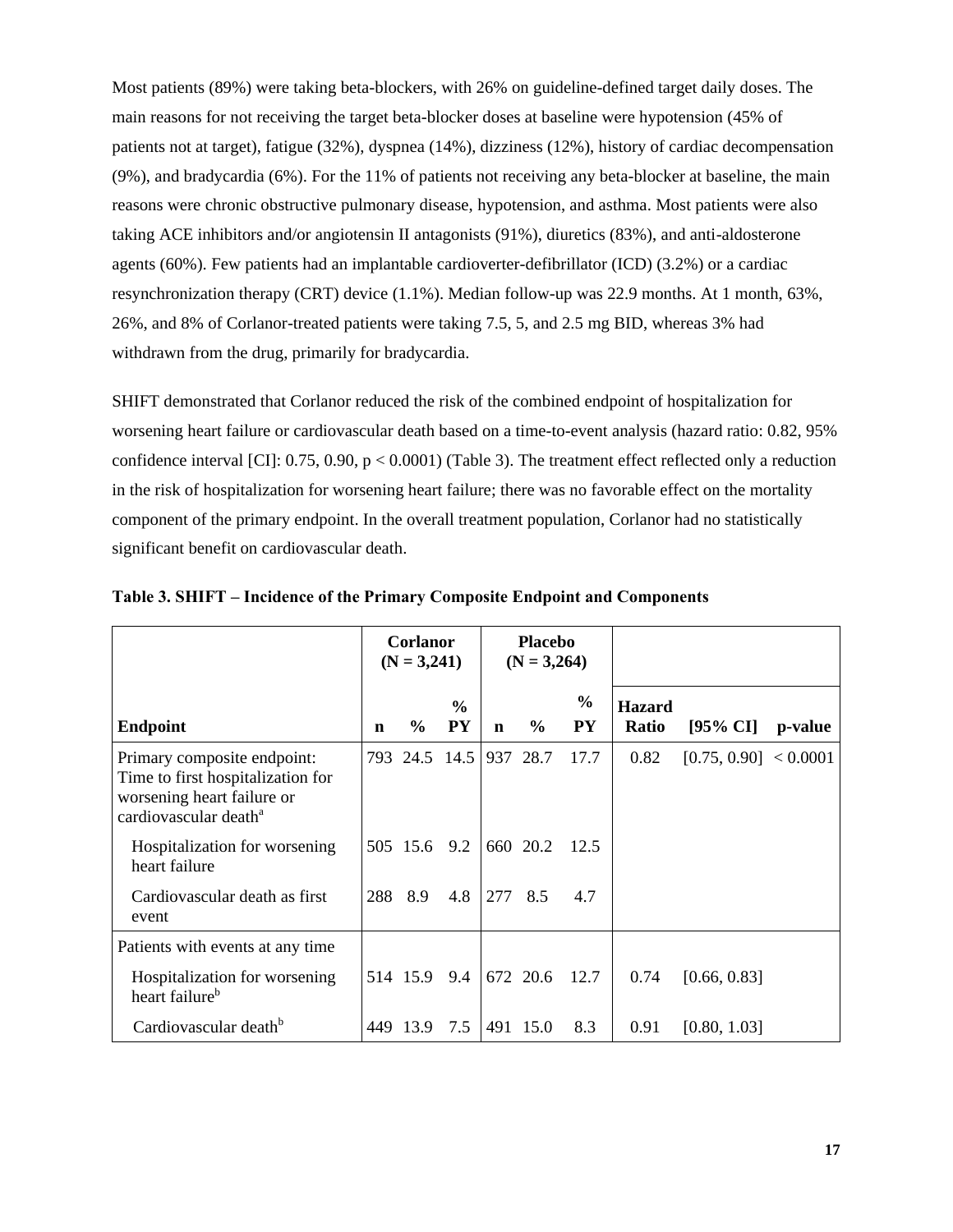Most patients (89%) were taking beta-blockers, with 26% on guideline-defined target daily doses. The main reasons for not receiving the target beta-blocker doses at baseline were hypotension (45% of patients not at target), fatigue (32%), dyspnea (14%), dizziness (12%), history of cardiac decompensation (9%), and bradycardia (6%). For the 11% of patients not receiving any beta-blocker at baseline, the main reasons were chronic obstructive pulmonary disease, hypotension, and asthma. Most patients were also taking ACE inhibitors and/or angiotensin II antagonists (91%), diuretics (83%), and anti-aldosterone agents (60%). Few patients had an implantable cardioverter-defibrillator (ICD) (3.2%) or a cardiac resynchronization therapy (CRT) device (1.1%). Median follow-up was 22.9 months. At 1 month, 63%, 26%, and 8% of Corlanor-treated patients were taking 7.5, 5, and 2.5 mg BID, whereas 3% had withdrawn from the drug, primarily for bradycardia.

SHIFT demonstrated that Corlanor reduced the risk of the combined endpoint of hospitalization for worsening heart failure or cardiovascular death based on a time-to-event analysis (hazard ratio: 0.82, 95% confidence interval [CI]:  $0.75$ ,  $0.90$ ,  $p < 0.0001$ ) (Table 3). The treatment effect reflected only a reduction in the risk of hospitalization for worsening heart failure; there was no favorable effect on the mortality component of the primary endpoint. In the overall treatment population, Corlanor had no statistically significant benefit on cardiovascular death.

|                                                                                                                                     | <b>Corlanor</b><br>$(N = 3,241)$ |               | <b>Placebo</b><br>$(N = 3,264)$ |             |               |                            |                        |                       |         |
|-------------------------------------------------------------------------------------------------------------------------------------|----------------------------------|---------------|---------------------------------|-------------|---------------|----------------------------|------------------------|-----------------------|---------|
| <b>Endpoint</b>                                                                                                                     | n                                | $\frac{6}{6}$ | $\frac{6}{6}$<br><b>PY</b>      | $\mathbf n$ | $\frac{6}{9}$ | $\frac{0}{0}$<br><b>PY</b> | <b>Hazard</b><br>Ratio | $[95\% \text{ CI}]$   | p-value |
| Primary composite endpoint:<br>Time to first hospitalization for<br>worsening heart failure or<br>cardiovascular death <sup>a</sup> |                                  |               | 793 24.5 14.5 937 28.7          |             |               | 17.7                       | 0.82                   | [0.75, 0.90] < 0.0001 |         |
| Hospitalization for worsening<br>heart failure                                                                                      |                                  | 505 15.6 9.2  |                                 |             | 660 20.2      | 12.5                       |                        |                       |         |
| Cardiovascular death as first<br>event                                                                                              | 288                              | 8.9           | 4.8                             | 277 8.5     |               | 4.7                        |                        |                       |         |
| Patients with events at any time                                                                                                    |                                  |               |                                 |             |               |                            |                        |                       |         |
| Hospitalization for worsening<br>heart failure <sup>b</sup>                                                                         |                                  | 514 15.9 9.4  |                                 |             | 672 20.6      | 12.7                       | 0.74                   | [0.66, 0.83]          |         |
| Cardiovascular death <sup>b</sup>                                                                                                   |                                  | 449 13.9      | 7.5                             |             | 491 15.0      | 8.3                        | 0.91                   | [0.80, 1.03]          |         |

**Table 3. SHIFT – Incidence of the Primary Composite Endpoint and Components**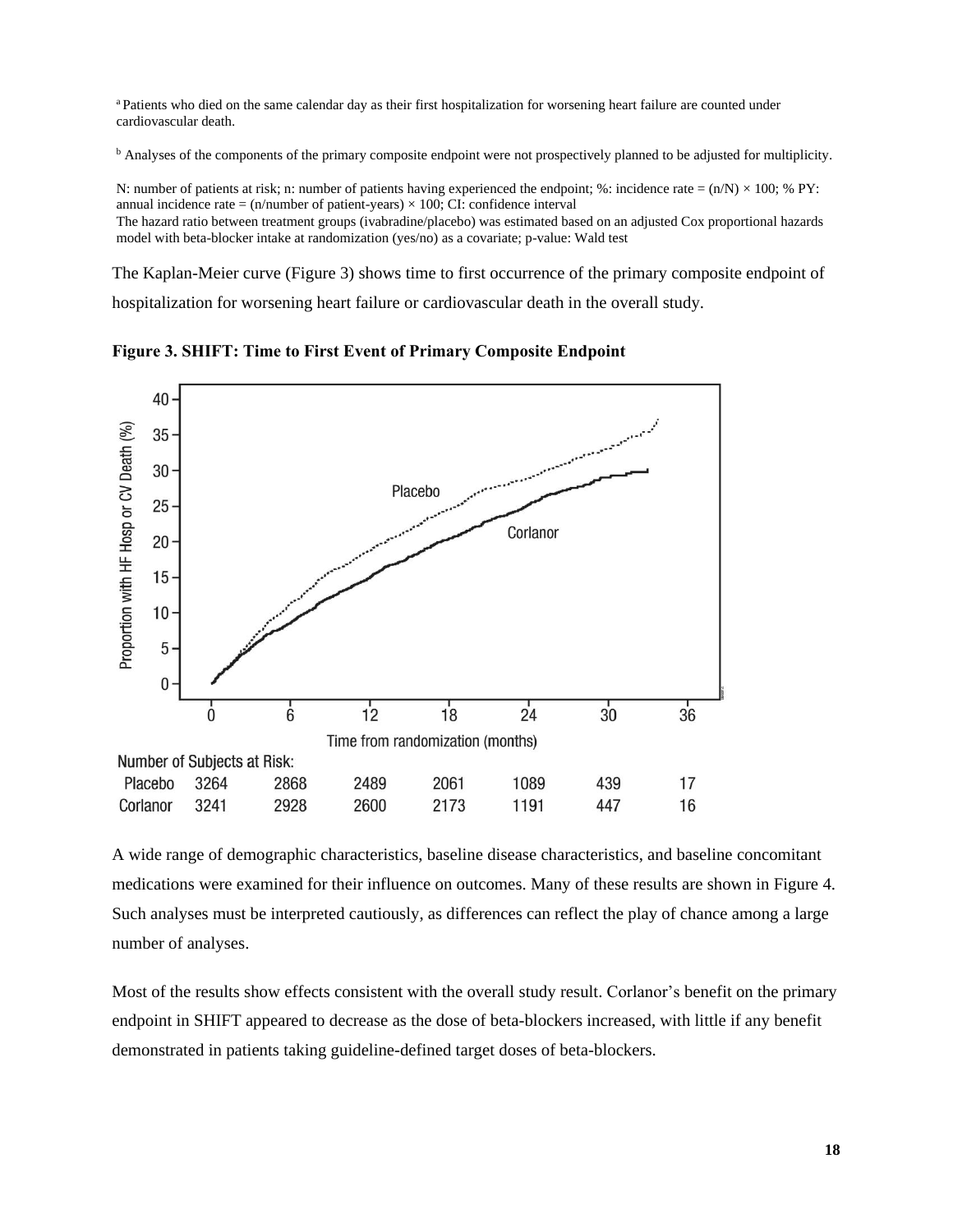<sup>a</sup> Patients who died on the same calendar day as their first hospitalization for worsening heart failure are counted under cardiovascular death.

<sup>b</sup> Analyses of the components of the primary composite endpoint were not prospectively planned to be adjusted for multiplicity.

N: number of patients at risk; n: number of patients having experienced the endpoint; %: incidence rate =  $(n/N) \times 100$ ; % PY: annual incidence rate =  $(n/number$  of patient-years)  $\times$  100; CI: confidence interval The hazard ratio between treatment groups (ivabradine/placebo) was estimated based on an adjusted Cox proportional hazards model with beta-blocker intake at randomization (yes/no) as a covariate; p-value: Wald test

The Kaplan-Meier curve (Figure 3) shows time to first occurrence of the primary composite endpoint of hospitalization for worsening heart failure or cardiovascular death in the overall study.

40 Proportion with HF Hosp or CV Death (%) 35 المتمسم ومنادر 30 Placebo 25 Corlanor  $20<sub>1</sub>$  $15 10<sup>1</sup>$  $5 -$ 0  $\overline{6}$  $\dot{0}$  $12$  $18$  $\overline{24}$  $30^{\degree}$  $36$ Time from randomization (months) Number of Subjects at Risk: 3264 Placebo 2868 2489 2061 1089 439 17 Corlanor 3241 2928 2600 2173 1191 447 16

**Figure 3. SHIFT: Time to First Event of Primary Composite Endpoint** 

A wide range of demographic characteristics, baseline disease characteristics, and baseline concomitant medications were examined for their influence on outcomes. Many of these results are shown in Figure 4. Such analyses must be interpreted cautiously, as differences can reflect the play of chance among a large number of analyses.

Most of the results show effects consistent with the overall study result. Corlanor's benefit on the primary endpoint in SHIFT appeared to decrease as the dose of beta-blockers increased, with little if any benefit demonstrated in patients taking guideline-defined target doses of beta-blockers.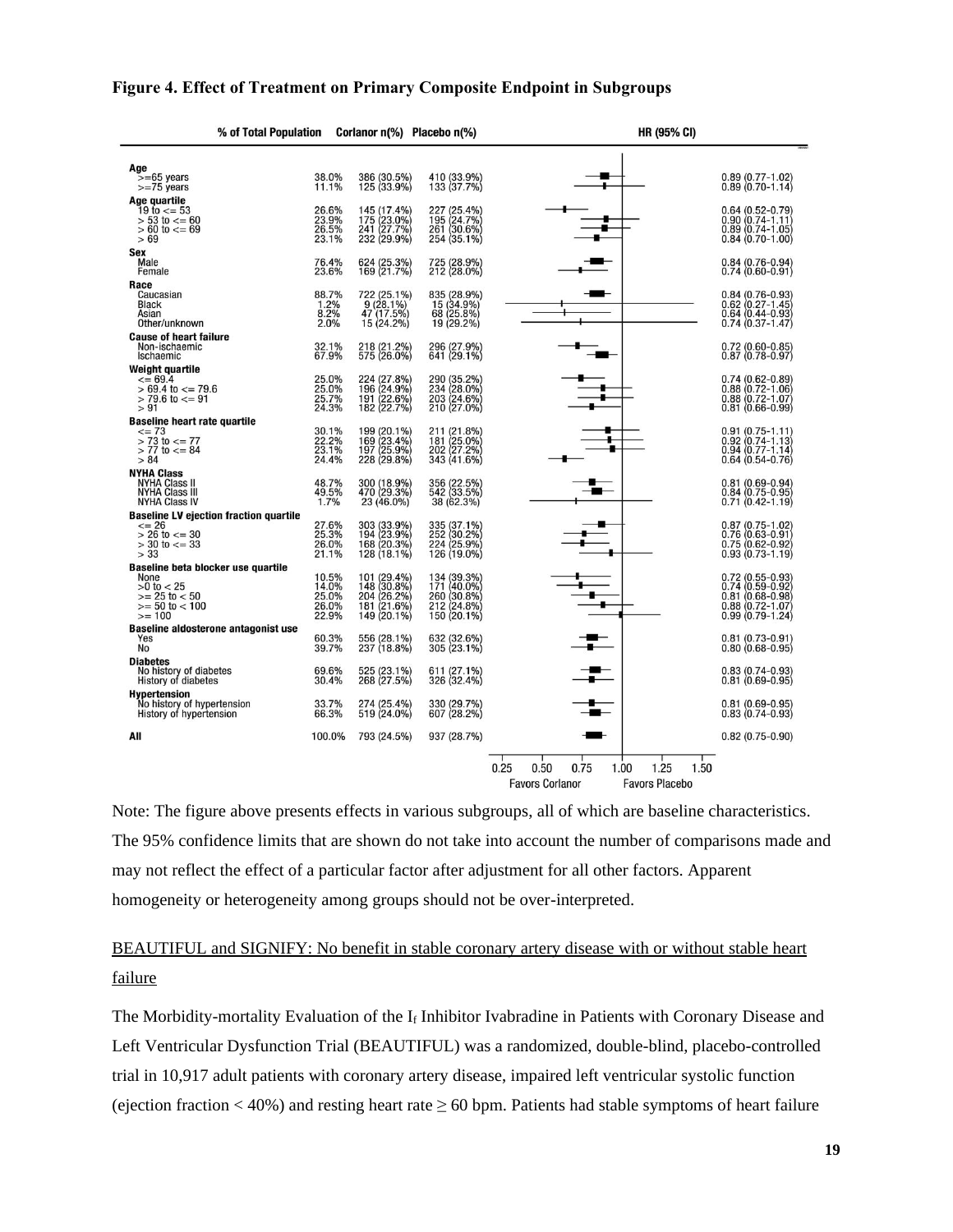| % of Total Population                                                                                               |                                           |                                                                         | Corlanor n(%) Placebo n(%)                                              | <b>HR (95% CI)</b>                                                                                |
|---------------------------------------------------------------------------------------------------------------------|-------------------------------------------|-------------------------------------------------------------------------|-------------------------------------------------------------------------|---------------------------------------------------------------------------------------------------|
| Age<br>$>= 65$ years<br>$>=75$ years                                                                                | 38.0%<br>11.1%                            | 386 (30.5%)<br>125 (33.9%)                                              | 410 (33.9%)<br>133 (37.7%)                                              | $0.89(0.77 - 1.02)$<br>$0.89(0.70 - 1.14)$                                                        |
| Age quartile<br>$19 \text{ to } \le 53$<br>$> 53$ to $\le$ = 60<br>$> 60$ to $<= 69$<br>>69                         | 26.6%<br>23.9%<br>26.5%<br>23.1%          | 145 (17.4%)<br>175 (23.0%)<br>241 (27.7%)<br>232 (29.9%)                | 227 (25.4%)<br>195 (24.7%)<br>261 (30.6%)<br>254 (35.1%)                | 0.64 (0.52-0.79)<br>0.90 (0.74-1.11)<br>0.89 (0.74-1.05)<br>$0.84(0.70-1.00)$                     |
| Sex<br>Male<br>Female                                                                                               | 76.4%<br>23.6%                            | 624 (25.3%)<br>169 (21.7%)                                              | 725 (28.9%)<br>212 (28.0%)                                              | $0.84(0.76-0.94)$<br>$0.74(0.60 - 0.91)$                                                          |
| Race<br>Caucasian<br><b>Black</b><br>Asian<br>Other/unknown                                                         | 88.7%<br>$1.2%$<br>$8.2%$<br>2.0%         | 722 (25.1%)<br>9 (28.1%)<br>47 (17.5%)<br>15 (24.2%)                    | 835 (28.9%)<br>15 (34.9%)<br>68 (25.8%)<br>19 (29.2%)                   | 0.84 (0.76-0.93)<br>0.62 (0.27-1.45)<br>0.64 (0.44-0.93)<br>$0.74(0.37 - 1.47)$                   |
| <b>Cause of heart failure</b><br>Non-ischaemic<br>Ischaemic                                                         | 32.1%<br>67.9%                            | 218 (21.2%)<br>575 (26.0%)                                              | 296 (27.9%)<br>641 (29.1%)                                              | 0.72 (0.60-0.85)<br>0.87 (0.78-0.97)                                                              |
| <b>Weight quartile</b><br>$\leq$ 69.4<br>$> 69.4$ to $\leq$ 79.6<br>$> 79.6$ to $\leq$ 91<br>> 91                   | 25.0%<br>25.0%<br>25.7%<br>24.3%          | 224 (27.8%)<br>196 (24.9%)<br>191 (22.6%)<br>182 (22.7%)                | 290 (35.2%)<br>234 (28.0%)<br>203 (24.6%)<br>210 (27.0%)                | $0.74(0.62 - 0.89)$<br>$0.88(0.72 - 1.06)$<br>$0.88(0.72 - 1.07)$<br>$0.81(0.66 - 0.99)$          |
| <b>Baseline heart rate quartile</b><br>$\leq$ 73<br>$> 73$ to $<= 77$<br>$> 77$ to $\leq$ 84<br>> 84                | 30.1%<br>22.2%<br>23.1%<br>24.4%          | 199 (20.1%)<br>169 (23.4%)<br>197 (25.9%)<br>228 (29.8%)                | 211 (21.8%)<br>181 (25.0%)<br>202 (27.2%)<br>343 (41.6%)                | $0.91(0.75 - 1.11)$<br>8<br>$0.92(0.74 - 1.13)$<br>$0.94(0.77 - 1.14)$<br>$0.64(0.54 - 0.76)$     |
| <b>NYHA Class</b><br><b>NYHA Class II</b><br><b>NYHA Class III</b><br><b>NYHA Class IV</b>                          | 48.7%<br>49.5%<br>1.7%                    | 300 (18.9%)<br>470 (29.3%)<br>23 (46.0%)                                | 356 (22.5%)<br>542 (33.5%)<br>38 (62.3%)                                | 0.81 (0.69-0.94)<br>0.84 (0.75-0.95)<br>$0.71(0.42 - 1.19)$                                       |
| <b>Baseline LV ejection fraction quartile</b><br>$\leq$ 26<br>$> 26$ to $<= 30$<br>$> 30$ to $<= 33$<br>> 33        | 27.6%<br>25.3%<br>26.0%<br>21.1%          | 303 (33.9%)<br>194 (23.9%)<br>168 (20.3%)<br>128 (18.1%)                | 335 (37.1%)<br>252 (30.2%)<br>224 (25.9%)<br>126 (19.0%)                | 0.87 (0.75-1.02)<br>0.76 (0.63-0.91)<br>$0.75(0.62 - 0.92)$<br>$0.93(0.73 - 1.19)$                |
| Baseline beta blocker use quartile<br>None<br>$>0$ to $< 25$<br>$>= 25$ to $< 50$<br>$>= 50$ to $< 100$<br>$>= 100$ | 10.5%<br>14.0%<br>25.0%<br>26.0%<br>22.9% | 101 (29.4%)<br>148 (30.8%)<br>204 (26.2%)<br>181 (21.6%)<br>149 (20.1%) | 134 (39.3%)<br>171 (40.0%)<br>260 (30.8%)<br>212 (24.8%)<br>150 (20.1%) | 0.72 (0.55-0.93)<br>0.74 (0.59-0.92)<br>$0.81(0.68-0.98)$<br>0.88 (0.72-1.07)<br>0.99 (0.79-1.24) |
| Baseline aldosterone antagonist use<br>Yes<br>No                                                                    | 60.3%<br>39.7%                            | 556 (28.1%)<br>237 (18.8%)                                              | 632 (32.6%)<br>305 (23.1%)                                              | $0.81(0.73-0.91)$<br>$0.80(0.68 - 0.95)$                                                          |
| <b>Diabetes</b><br>No history of diabetes<br><b>History of diabetes</b>                                             | 69.6%<br>30.4%                            | 525 (23.1%)<br>268 (27.5%)                                              | 611 (27.1%)<br>326 (32.4%)                                              | $0.83(0.74-0.93)$<br>$0.81(0.69-0.95)$                                                            |
| <b>Hypertension</b><br>No history of hypertension<br>History of hypertension                                        | 33.7%<br>66.3%                            | 274 (25.4%)<br>519 (24.0%)                                              | 330 (29.7%)<br>607 (28.2%)                                              | $0.81(0.69-0.95)$<br>$0.83(0.74 - 0.93)$                                                          |
| All                                                                                                                 | 100.0%                                    | 793 (24.5%)                                                             | 937 (28.7%)                                                             | $0.82(0.75-0.90)$                                                                                 |
|                                                                                                                     |                                           |                                                                         |                                                                         | 0.25<br>1.25<br>0.50<br>0.75<br>1.00<br>1.50<br><b>Favors Placebo</b><br><b>Favors Corlanor</b>   |

### **Figure 4. Effect of Treatment on Primary Composite Endpoint in Subgroups**

Note: The figure above presents effects in various subgroups, all of which are baseline characteristics. The 95% confidence limits that are shown do not take into account the number of comparisons made and may not reflect the effect of a particular factor after adjustment for all other factors. Apparent homogeneity or heterogeneity among groups should not be over-interpreted.

# BEAUTIFUL and SIGNIFY: No benefit in stable coronary artery disease with or without stable heart failure

The Morbidity-mortality Evaluation of the  $I_f$  Inhibitor Ivabradine in Patients with Coronary Disease and Left Ventricular Dysfunction Trial (BEAUTIFUL) was a randomized, double-blind, placebo-controlled trial in 10,917 adult patients with coronary artery disease, impaired left ventricular systolic function (ejection fraction  $\lt$  40%) and resting heart rate  $\geq$  60 bpm. Patients had stable symptoms of heart failure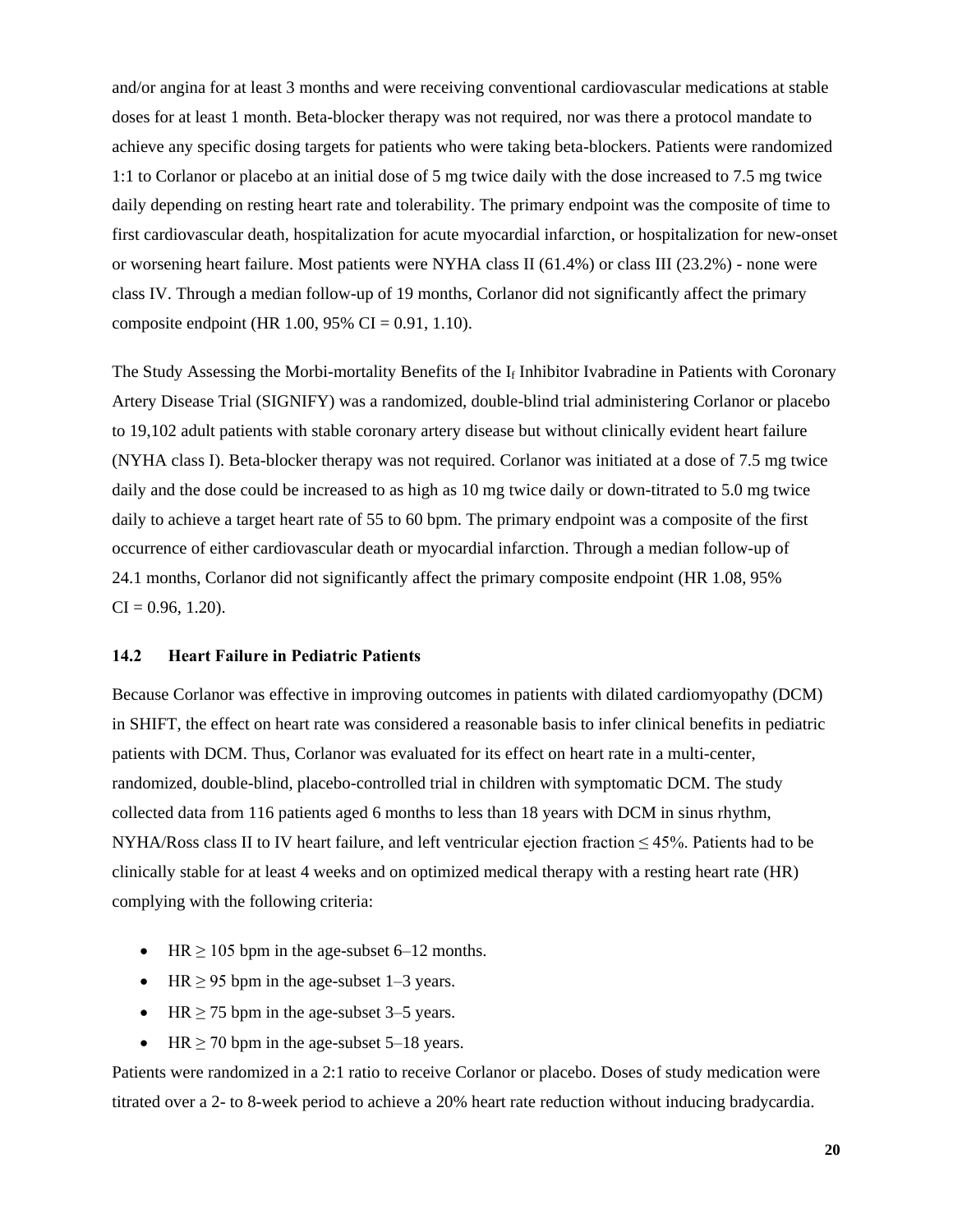and/or angina for at least 3 months and were receiving conventional cardiovascular medications at stable doses for at least 1 month. Beta-blocker therapy was not required, nor was there a protocol mandate to achieve any specific dosing targets for patients who were taking beta-blockers. Patients were randomized 1:1 to Corlanor or placebo at an initial dose of 5 mg twice daily with the dose increased to 7.5 mg twice daily depending on resting heart rate and tolerability. The primary endpoint was the composite of time to first cardiovascular death, hospitalization for acute myocardial infarction, or hospitalization for new-onset or worsening heart failure. Most patients were NYHA class II (61.4%) or class III (23.2%) - none were class IV. Through a median follow-up of 19 months, Corlanor did not significantly affect the primary composite endpoint (HR 1.00, 95% CI = 0.91, 1.10).

The Study Assessing the Morbi-mortality Benefits of the  $I_f$  Inhibitor Ivabradine in Patients with Coronary Artery Disease Trial (SIGNIFY) was a randomized, double-blind trial administering Corlanor or placebo to 19,102 adult patients with stable coronary artery disease but without clinically evident heart failure (NYHA class I). Beta-blocker therapy was not required. Corlanor was initiated at a dose of 7.5 mg twice daily and the dose could be increased to as high as 10 mg twice daily or down-titrated to 5.0 mg twice daily to achieve a target heart rate of 55 to 60 bpm. The primary endpoint was a composite of the first occurrence of either cardiovascular death or myocardial infarction. Through a median follow-up of 24.1 months, Corlanor did not significantly affect the primary composite endpoint (HR 1.08, 95%  $CI = 0.96, 1.20$ .

#### **14.2 Heart Failure in Pediatric Patients**

Because Corlanor was effective in improving outcomes in patients with dilated cardiomyopathy (DCM) in SHIFT, the effect on heart rate was considered a reasonable basis to infer clinical benefits in pediatric patients with DCM. Thus, Corlanor was evaluated for its effect on heart rate in a multi-center, randomized, double-blind, placebo-controlled trial in children with symptomatic DCM. The study collected data from 116 patients aged 6 months to less than 18 years with DCM in sinus rhythm, NYHA/Ross class II to IV heart failure, and left ventricular ejection fraction  $\leq 45\%$ . Patients had to be clinically stable for at least 4 weeks and on optimized medical therapy with a resting heart rate (HR) complying with the following criteria:

- HR  $\geq$  105 bpm in the age-subset 6–12 months.
- HR  $\geq$  95 bpm in the age-subset 1–3 years.
- HR  $\geq$  75 bpm in the age-subset 3–5 years.
- HR  $\geq$  70 bpm in the age-subset 5–18 years.

Patients were randomized in a 2:1 ratio to receive Corlanor or placebo. Doses of study medication were titrated over a 2- to 8-week period to achieve a 20% heart rate reduction without inducing bradycardia.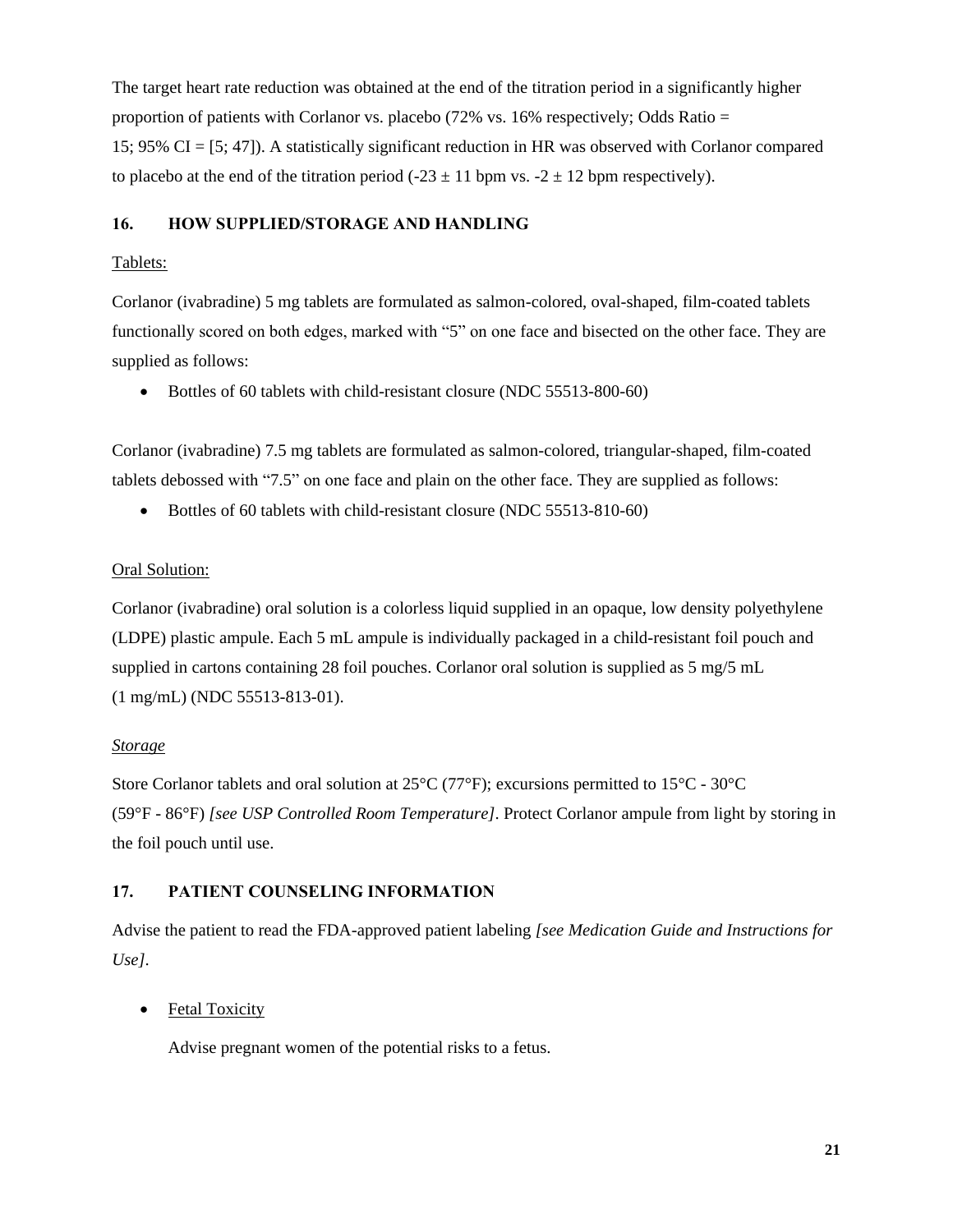The target heart rate reduction was obtained at the end of the titration period in a significantly higher proportion of patients with Corlanor vs. placebo (72% vs. 16% respectively; Odds Ratio = 15; 95% CI = [5; 47]). A statistically significant reduction in HR was observed with Corlanor compared to placebo at the end of the titration period (-23  $\pm$  11 bpm vs. -2  $\pm$  12 bpm respectively).

### **16. HOW SUPPLIED/STORAGE AND HANDLING**

## Tablets:

Corlanor (ivabradine) 5 mg tablets are formulated as salmon-colored, oval-shaped, film-coated tablets functionally scored on both edges, marked with "5" on one face and bisected on the other face. They are supplied as follows:

• Bottles of 60 tablets with child-resistant closure (NDC 55513-800-60)

Corlanor (ivabradine) 7.5 mg tablets are formulated as salmon-colored, triangular-shaped, film-coated tablets debossed with "7.5" on one face and plain on the other face. They are supplied as follows:

• Bottles of 60 tablets with child-resistant closure (NDC 55513-810-60)

# Oral Solution:

Corlanor (ivabradine) oral solution is a colorless liquid supplied in an opaque, low density polyethylene (LDPE) plastic ampule. Each 5 mL ampule is individually packaged in a child-resistant foil pouch and supplied in cartons containing 28 foil pouches. Corlanor oral solution is supplied as 5 mg/5 mL (1 mg/mL) (NDC 55513-813-01).

# *Storage*

Store Corlanor tablets and oral solution at  $25^{\circ}$ C (77°F); excursions permitted to 15°C - 30°C (59°F - 86°F) *[see USP Controlled Room Temperature]*. Protect Corlanor ampule from light by storing in the foil pouch until use.

# **17. PATIENT COUNSELING INFORMATION**

Advise the patient to read the FDA-approved patient labeling *[see Medication Guide and Instructions for Use]*.

# • Fetal Toxicity

Advise pregnant women of the potential risks to a fetus.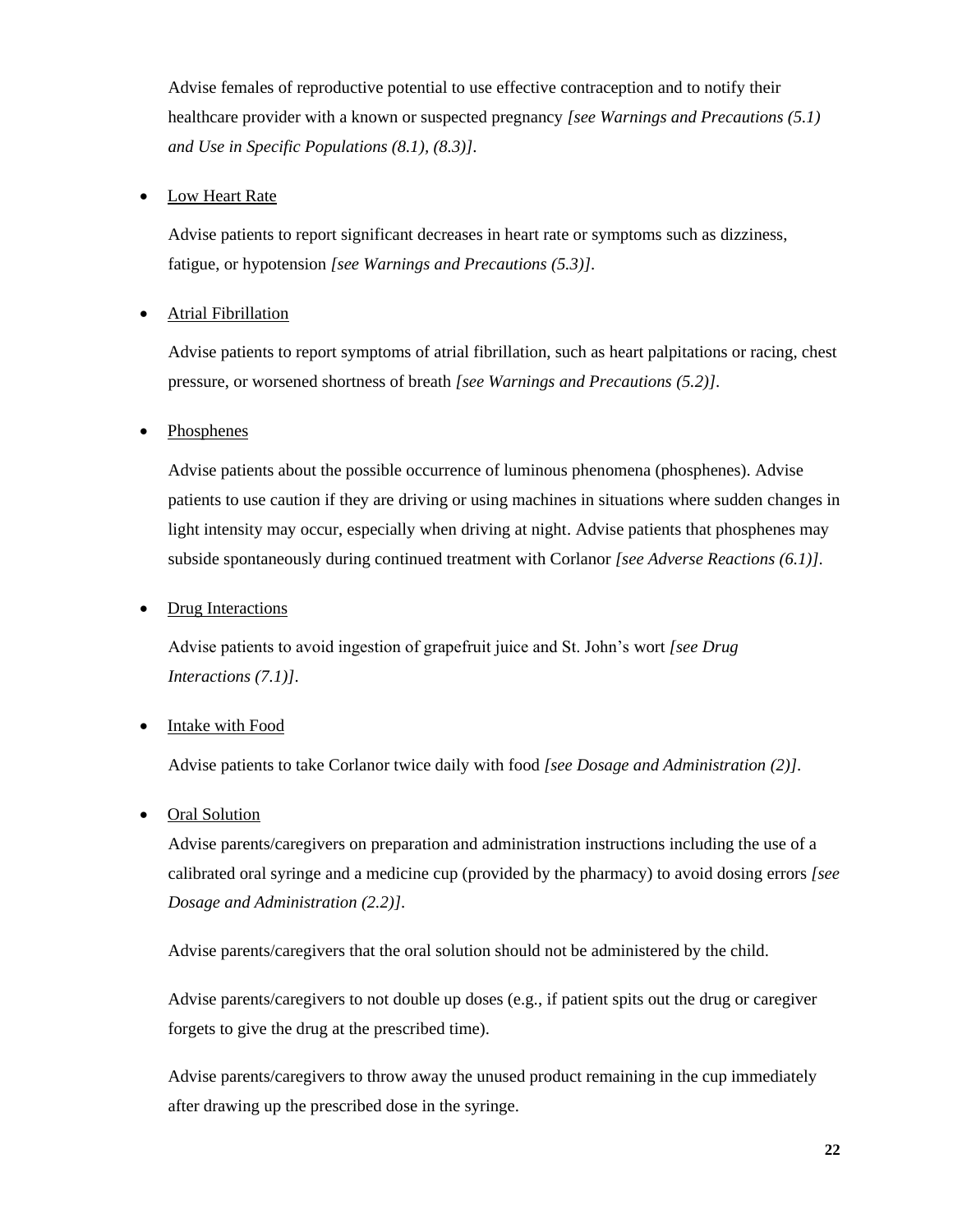Advise females of reproductive potential to use effective contraception and to notify their healthcare provider with a known or suspected pregnancy *[see Warnings and Precautions (5.1) and Use in Specific Populations (8.1), (8.3)]*.

# Low Heart Rate

Advise patients to report significant decreases in heart rate or symptoms such as dizziness, fatigue, or hypotension *[see Warnings and Precautions (5.3)]*.

## • Atrial Fibrillation

Advise patients to report symptoms of atrial fibrillation, such as heart palpitations or racing, chest pressure, or worsened shortness of breath *[see Warnings and Precautions (5.2)]*.

## • Phosphenes

Advise patients about the possible occurrence of luminous phenomena (phosphenes). Advise patients to use caution if they are driving or using machines in situations where sudden changes in light intensity may occur, especially when driving at night. Advise patients that phosphenes may subside spontaneously during continued treatment with Corlanor *[see Adverse Reactions (6.1)]*.

### • Drug Interactions

Advise patients to avoid ingestion of grapefruit juice and St. John's wort *[see Drug Interactions (7.1)]*.

### Intake with Food

Advise patients to take Corlanor twice daily with food *[see Dosage and Administration (2)]*.

### • Oral Solution

Advise parents/caregivers on preparation and administration instructions including the use of a calibrated oral syringe and a medicine cup (provided by the pharmacy) to avoid dosing errors *[see Dosage and Administration (2.2)]*.

Advise parents/caregivers that the oral solution should not be administered by the child.

Advise parents/caregivers to not double up doses (e.g., if patient spits out the drug or caregiver forgets to give the drug at the prescribed time).

Advise parents/caregivers to throw away the unused product remaining in the cup immediately after drawing up the prescribed dose in the syringe.